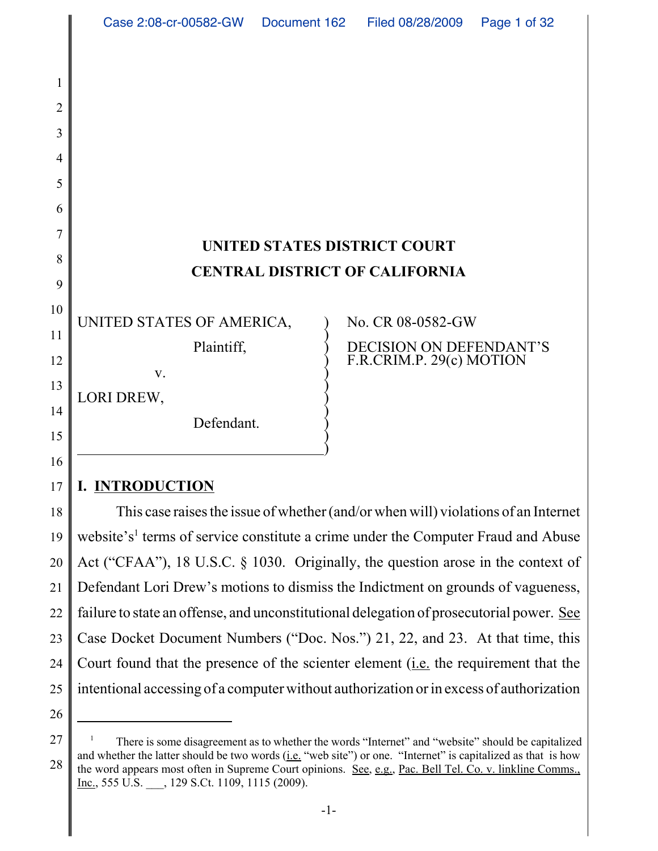# **UNITED STATES DISTRICT COURT CENTRAL DISTRICT OF CALIFORNIA**

) ) ) ) ) ) ) ) ) ) )

UNITED STATES OF AMERICA,

v.

Plaintiff,

LORI DREW,

1

2

3

4

5

6

7

8

9

10

11

12

13

14

15

16

Defendant.

No. CR 08-0582-GW DECISION ON DEFENDANT'S F.R.CRIM.P. 29(c) MOTION

#### 17 **I. INTRODUCTION**

18 19 20 21 22 23 24 25 This case raises the issue of whether(and/or when will) violations of an Internet website's<sup>1</sup> terms of service constitute a crime under the Computer Fraud and Abuse Act ("CFAA"), 18 U.S.C. § 1030. Originally, the question arose in the context of Defendant Lori Drew's motions to dismiss the Indictment on grounds of vagueness, failure to state an offense, and unconstitutional delegation of prosecutorial power. See Case Docket Document Numbers ("Doc. Nos.") 21, 22, and 23. At that time, this Court found that the presence of the scienter element (i.e. the requirement that the intentional accessing of a computer without authorization or in excess of authorization

<sup>26</sup>

<sup>27</sup> 28 <sup>1</sup> There is some disagreement as to whether the words "Internet" and "website" should be capitalized and whether the latter should be two words (i.e. "web site") or one. "Internet" is capitalized as that is how the word appears most often in Supreme Court opinions. See, e.g., Pac. Bell Tel. Co. v. linkline Comms., Inc., 555 U.S. , 129 S.Ct. 1109, 1115 (2009).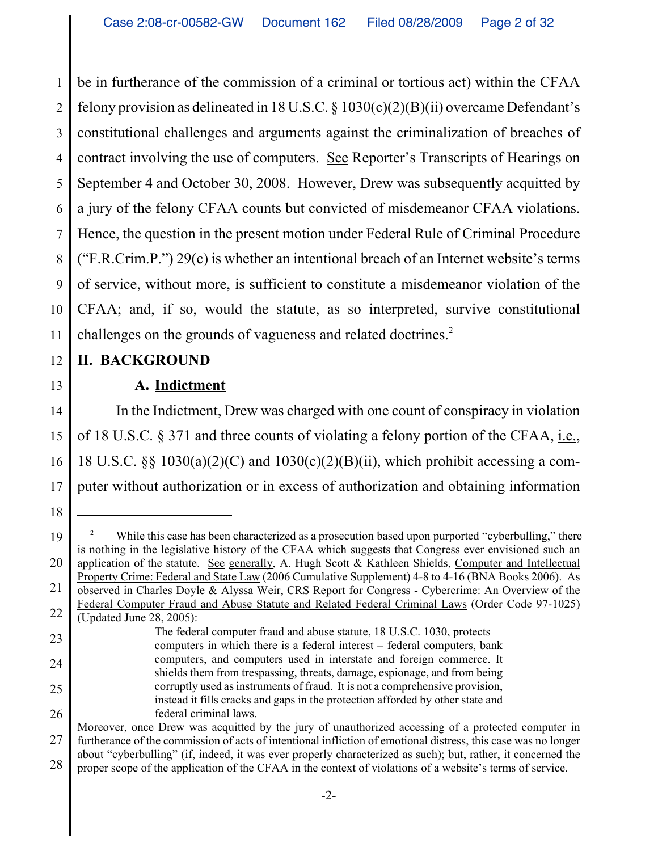1 2 3 4 5 6 7 8 9 10 11 be in furtherance of the commission of a criminal or tortious act) within the CFAA felony provision as delineated in 18 U.S.C.  $\S 1030(c)(2)(B)(ii)$  overcame Defendant's constitutional challenges and arguments against the criminalization of breaches of contract involving the use of computers. See Reporter's Transcripts of Hearings on September 4 and October 30, 2008. However, Drew was subsequently acquitted by a jury of the felony CFAA counts but convicted of misdemeanor CFAA violations. Hence, the question in the present motion under Federal Rule of Criminal Procedure ("F.R.Crim.P.") 29(c) is whether an intentional breach of an Internet website's terms of service, without more, is sufficient to constitute a misdemeanor violation of the CFAA; and, if so, would the statute, as so interpreted, survive constitutional challenges on the grounds of vagueness and related doctrines. 2

#### 12 **II. BACKGROUND**

**A. Indictment**

14 15 16 17 In the Indictment, Drew was charged with one count of conspiracy in violation of 18 U.S.C. § 371 and three counts of violating a felony portion of the CFAA, i.e., 18 U.S.C. §§ 1030(a)(2)(C) and 1030(c)(2)(B)(ii), which prohibit accessing a computer without authorization or in excess of authorization and obtaining information

13

20

21

22

23

24

25

26

<sup>2</sup> While this case has been characterized as a prosecution based upon purported "cyberbulling," there is nothing in the legislative history of the CFAA which suggests that Congress ever envisioned such an application of the statute. See generally, A. Hugh Scott & Kathleen Shields, Computer and Intellectual Property Crime: Federal and State Law (2006 Cumulative Supplement) 4-8 to 4-16 (BNA Books 2006). As observed in Charles Doyle & Alyssa Weir, CRS Report for Congress - Cybercrime: An Overview of the Federal Computer Fraud and Abuse Statute and Related Federal Criminal Laws (Order Code 97-1025) (Updated June 28, 2005):

The federal computer fraud and abuse statute, 18 U.S.C. 1030, protects computers in which there is a federal interest – federal computers, bank computers, and computers used in interstate and foreign commerce. It shields them from trespassing, threats, damage, espionage, and from being corruptly used as instruments of fraud. It is not a comprehensive provision, instead it fills cracks and gaps in the protection afforded by other state and federal criminal laws.

27 28 Moreover, once Drew was acquitted by the jury of unauthorized accessing of a protected computer in furtherance of the commission of acts of intentional infliction of emotional distress, this case was no longer about "cyberbulling" (if, indeed, it was ever properly characterized as such); but, rather, it concerned the proper scope of the application of the CFAA in the context of violations of a website's terms of service.

<sup>18</sup>

<sup>19</sup>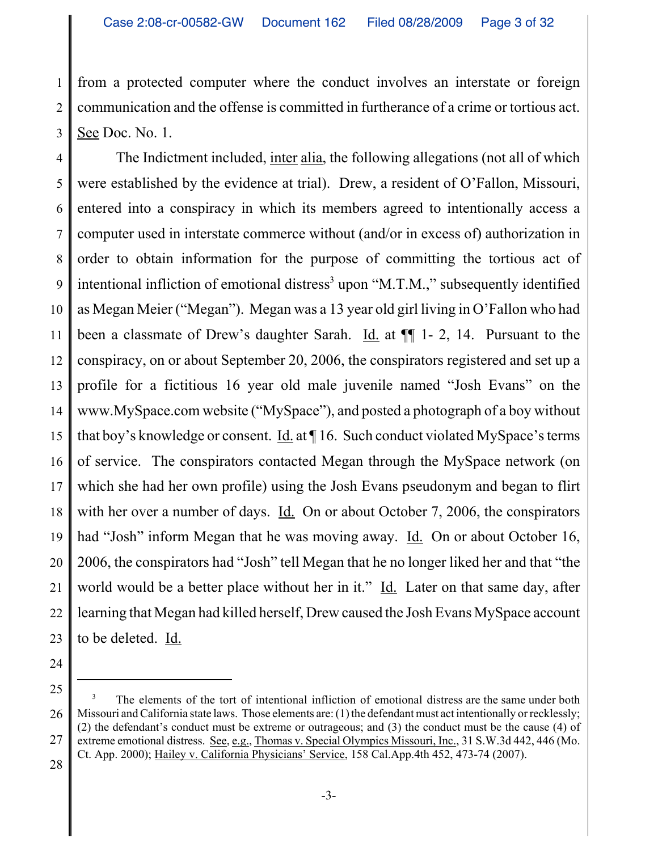1 2 3 from a protected computer where the conduct involves an interstate or foreign communication and the offense is committed in furtherance of a crime or tortious act. See Doc. No. 1.

4 5 6 7 8 9 10 11 12 13 14 15 16 17 18 19 20 21 22 23 The Indictment included, inter alia, the following allegations (not all of which were established by the evidence at trial). Drew, a resident of O'Fallon, Missouri, entered into a conspiracy in which its members agreed to intentionally access a computer used in interstate commerce without (and/or in excess of) authorization in order to obtain information for the purpose of committing the tortious act of intentional infliction of emotional distress<sup>3</sup> upon "M.T.M.," subsequently identified as Megan Meier ("Megan"). Megan was a 13 year old girl living in O'Fallon who had been a classmate of Drew's daughter Sarah. Id. at ¶¶ 1- 2, 14. Pursuant to the conspiracy, on or about September 20, 2006, the conspirators registered and set up a profile for a fictitious 16 year old male juvenile named "Josh Evans" on the www.MySpace.com website ("MySpace"), and posted a photograph of a boy without that boy's knowledge or consent. Id. at  $\P$ 16. Such conduct violated MySpace's terms of service. The conspirators contacted Megan through the MySpace network (on which she had her own profile) using the Josh Evans pseudonym and began to flirt with her over a number of days. Id. On or about October 7, 2006, the conspirators had "Josh" inform Megan that he was moving away. Id. On or about October 16, 2006, the conspirators had "Josh" tell Megan that he no longer liked her and that "the world would be a better place without her in it." Id. Later on that same day, after learning that Megan had killed herself, Drew caused the Josh Evans MySpace account to be deleted. Id.

<sup>25</sup>

<sup>26</sup> 27 The elements of the tort of intentional infliction of emotional distress are the same under both Missouri and California state laws. Those elements are:  $(1)$  the defendant must act intentionally or recklessly; (2) the defendant's conduct must be extreme or outrageous; and (3) the conduct must be the cause (4) of extreme emotional distress. See, e.g., Thomas v. Special Olympics Missouri, Inc., 31 S.W.3d 442, 446 (Mo. Ct. App. 2000); Hailey v. California Physicians' Service, 158 Cal.App.4th 452, 473-74 (2007).

<sup>28</sup>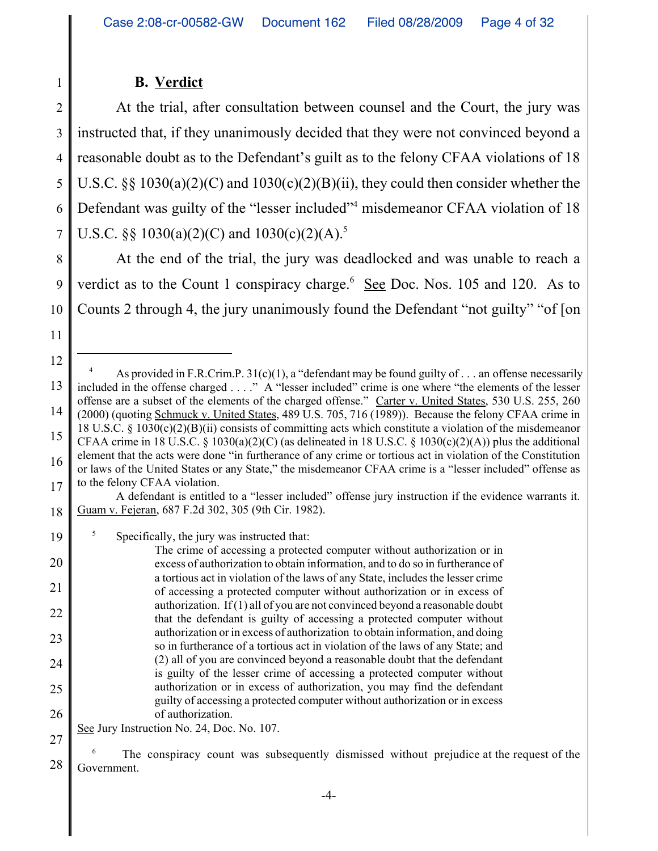### **B. Verdict**

1

11

27

2 3 4 5 6 7 At the trial, after consultation between counsel and the Court, the jury was instructed that, if they unanimously decided that they were not convinced beyond a reasonable doubt as to the Defendant's guilt as to the felony CFAA violations of 18 U.S.C. §§ 1030(a)(2)(C) and 1030(c)(2)(B)(ii), they could then consider whether the Defendant was guilty of the "lesser included"<sup>4</sup> misdemeanor CFAA violation of 18 U.S.C. §§ 1030(a)(2)(C) and  $1030(c)(2)(A)$ .<sup>5</sup>

8 9 10 At the end of the trial, the jury was deadlocked and was unable to reach a verdict as to the Count 1 conspiracy charge.<sup>6</sup> See Doc. Nos. 105 and 120. As to Counts 2 through 4, the jury unanimously found the Defendant "not guilty" "of [on

<sup>5</sup> Specifically, the jury was instructed that:

<sup>12</sup> 13 14 15 16 17 As provided in F.R.Crim.P.  $31(c)(1)$ , a "defendant may be found guilty of . . . an offense necessarily included in the offense charged . . . ." A "lesser included" crime is one where "the elements of the lesser offense are a subset of the elements of the charged offense." Carter v. United States, 530 U.S. 255, 260 (2000) (quoting Schmuck v. United States, 489 U.S. 705, 716 (1989)). Because the felony CFAA crime in 18 U.S.C. § 1030(c)(2)(B)(ii) consists of committing acts which constitute a violation of the misdemeanor CFAA crime in 18 U.S.C. § 1030(a)(2)(C) (as delineated in 18 U.S.C. § 1030(c)(2)(A)) plus the additional element that the acts were done "in furtherance of any crime or tortious act in violation of the Constitution or laws of the United States or any State," the misdemeanor CFAA crime is a "lesser included" offense as to the felony CFAA violation.

<sup>18</sup> A defendant is entitled to a "lesser included" offense jury instruction if the evidence warrants it. Guam v. Fejeran, 687 F.2d 302, 305 (9th Cir. 1982).

<sup>19</sup> 20 21 22 23 24 25 26 The crime of accessing a protected computer without authorization or in excess of authorization to obtain information, and to do so in furtherance of a tortious act in violation of the laws of any State, includes the lesser crime of accessing a protected computer without authorization or in excess of authorization. If(1) all of you are not convinced beyond a reasonable doubt that the defendant is guilty of accessing a protected computer without authorization or in excess of authorization to obtain information, and doing so in furtherance of a tortious act in violation of the laws of any State; and (2) all of you are convinced beyond a reasonable doubt that the defendant is guilty of the lesser crime of accessing a protected computer without authorization or in excess of authorization, you may find the defendant guilty of accessing a protected computer without authorization or in excess of authorization.

See Jury Instruction No. 24, Doc. No. 107.

<sup>28</sup> The conspiracy count was subsequently dismissed without prejudice at the request of the Government.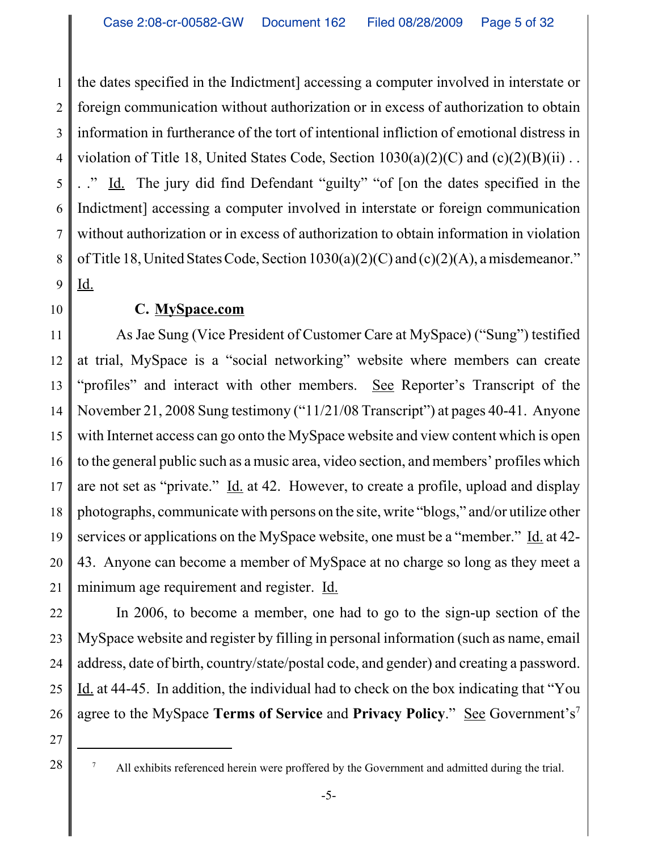1 2 3 4 5 6 7 8 9 the dates specified in the Indictment] accessing a computer involved in interstate or foreign communication without authorization or in excess of authorization to obtain information in furtherance of the tort of intentional infliction of emotional distress in violation of Title 18, United States Code, Section  $1030(a)(2)(C)$  and  $(c)(2)(B)(ii)$ . . ." Id. The jury did find Defendant "guilty" "of [on the dates specified in the Indictment] accessing a computer involved in interstate or foreign communication without authorization or in excess of authorization to obtain information in violation of Title 18, United States Code, Section  $1030(a)(2)(C)$  and  $(c)(2)(A)$ , a misdemeanor." Id.

10

### **C. MySpace.com**

11 12 13 14 15 16 17 18 19 20 21 As Jae Sung (Vice President of Customer Care at MySpace) ("Sung") testified at trial, MySpace is a "social networking" website where members can create "profiles" and interact with other members. See Reporter's Transcript of the November 21, 2008 Sung testimony ("11/21/08 Transcript") at pages 40-41. Anyone with Internet access can go onto the MySpace website and view content which is open to the general public such as a music area, video section, and members' profiles which are not set as "private." Id. at 42. However, to create a profile, upload and display photographs, communicate with persons on the site, write "blogs," and/or utilize other services or applications on the MySpace website, one must be a "member." Id. at 42-43. Anyone can become a member of MySpace at no charge so long as they meet a minimum age requirement and register. Id.

22 23 24 25 26 In 2006, to become a member, one had to go to the sign-up section of the MySpace website and register by filling in personal information (such as name, email address, date of birth, country/state/postal code, and gender) and creating a password. Id. at 44-45. In addition, the individual had to check on the box indicating that "You agree to the MySpace **Terms of Service** and **Privacy Policy**." See Government's 7

<sup>28 | &</sup>lt;sup>7</sup> All exhibits referenced herein were proffered by the Government and admitted during the trial.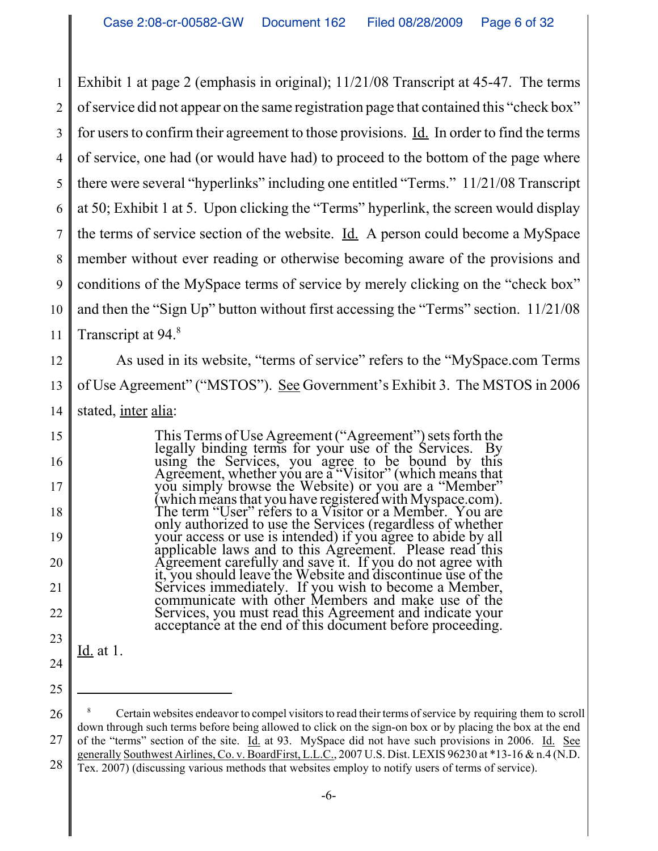1 2 3 4 5 6 7 8 9 10 11 Exhibit 1 at page 2 (emphasis in original); 11/21/08 Transcript at 45-47. The terms ofservice did not appear on the same registration page that contained this "check box" for users to confirm their agreement to those provisions. Id. In order to find the terms of service, one had (or would have had) to proceed to the bottom of the page where there were several "hyperlinks" including one entitled "Terms." 11/21/08 Transcript at 50; Exhibit 1 at 5. Upon clicking the "Terms" hyperlink, the screen would display the terms of service section of the website. **Id.** A person could become a MySpace member without ever reading or otherwise becoming aware of the provisions and conditions of the MySpace terms of service by merely clicking on the "check box" and then the "Sign Up" button without first accessing the "Terms" section. 11/21/08 Transcript at 94.<sup>8</sup>

12 13 14 As used in its website, "terms of service" refers to the "MySpace.com Terms of Use Agreement" ("MSTOS"). See Government's Exhibit 3. The MSTOS in 2006 stated, inter alia:

> This Terms of Use Agreement ("Agreement") sets forth the legally binding terms for your use of the Services. By using the Services, you agree to be bound by this Agreement, whether you are a "Visitor" (which means that you simply browse the Website) or you are a "Member" (which means that you have registered with Myspace.com).<br>The term "User" refers to a Visitor or a Member. You are only authorized to use the Services (regardless of whether your access or use is intended) if you agree to abide by all applicable laws and to this Agreement. Please read this Agreement carefully and save it. If you do not agree with it, you should leave the Website and discontinue use of the Services immediately. If you wish to become <sup>a</sup> Member, communicate with other Members and make use of the Services, you must read this Agreement and indicate your acceptance at the end of this document before proceeding.

Id. at 1.

15

16

17

18

19

20

21

22

23

24

<sup>26</sup> 27 28 Certain websites endeavor to compel visitors to read their terms of service by requiring them to scroll down through such terms before being allowed to click on the sign-on box or by placing the box at the end of the "terms" section of the site. Id. at 93. MySpace did not have such provisions in 2006. Id. See generally Southwest Airlines, Co. v. BoardFirst, L.L.C., 2007 U.S. Dist. LEXIS 96230 at \*13-16 & n.4 (N.D. Tex. 2007) (discussing various methods that websites employ to notify users of terms of service).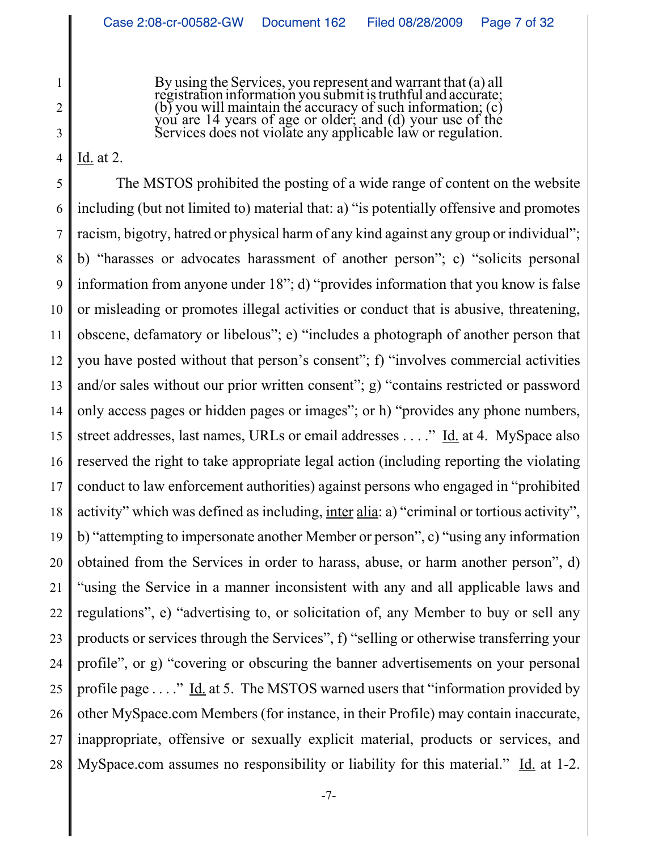By using the Services, you represent and warrant that (a) all registration information you submit istruthful and accurate; (b) you will maintain the accuracy of such information; (c) you are 14 years of age or older; and (d) your use of the Services does not violate any applicable law or regulation.

#### 4 Id. at 2.

1

2

3

5 6 7 8 9 10 11 12 13 14 15 16 17 18 19 20 21 22 23 24 25 26 27 28 The MSTOS prohibited the posting of a wide range of content on the website including (but not limited to) material that: a) "is potentially offensive and promotes racism, bigotry, hatred or physical harm of any kind against any group or individual"; b) "harasses or advocates harassment of another person"; c) "solicits personal information from anyone under 18"; d) "provides information that you know is false or misleading or promotes illegal activities or conduct that is abusive, threatening, obscene, defamatory or libelous"; e) "includes a photograph of another person that you have posted without that person's consent"; f) "involves commercial activities and/or sales without our prior written consent"; g) "contains restricted or password only access pages or hidden pages or images"; or h) "provides any phone numbers, street addresses, last names, URLs or email addresses . . . ." Id. at 4. MySpace also reserved the right to take appropriate legal action (including reporting the violating conduct to law enforcement authorities) against persons who engaged in "prohibited activity" which was defined as including, inter alia: a) "criminal or tortious activity", b) "attempting to impersonate another Member or person", c) "using any information obtained from the Services in order to harass, abuse, or harm another person", d) "using the Service in a manner inconsistent with any and all applicable laws and regulations", e) "advertising to, or solicitation of, any Member to buy or sell any products or services through the Services", f) "selling or otherwise transferring your profile", or g) "covering or obscuring the banner advertisements on your personal profile page . . . ." Id. at 5. The MSTOS warned users that "information provided by other MySpace.com Members (for instance, in their Profile) may contain inaccurate, inappropriate, offensive or sexually explicit material, products or services, and MySpace.com assumes no responsibility or liability for this material." Id. at 1-2.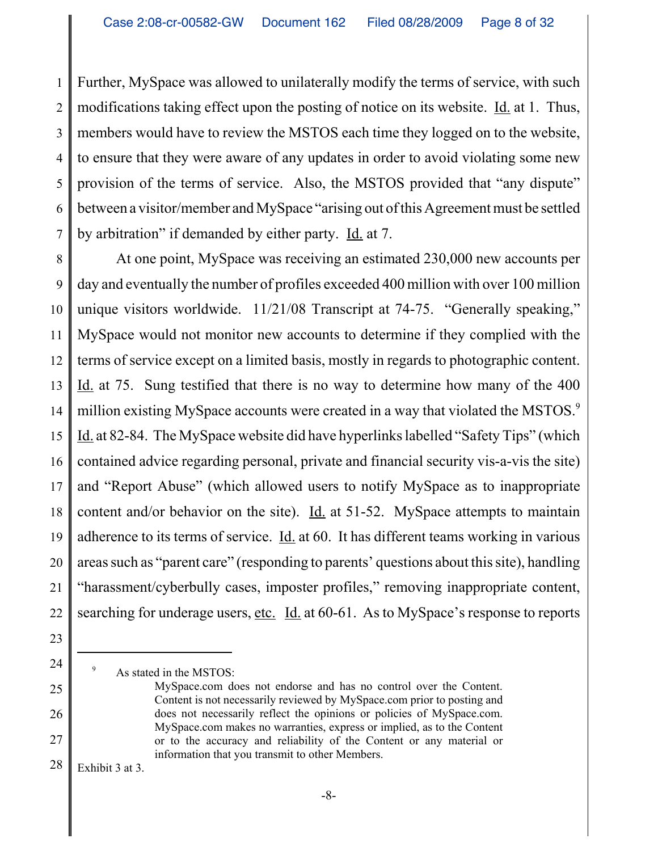1 2 3 4 5 6 7 Further, MySpace was allowed to unilaterally modify the terms of service, with such modifications taking effect upon the posting of notice on its website. Id. at 1. Thus, members would have to review the MSTOS each time they logged on to the website, to ensure that they were aware of any updates in order to avoid violating some new provision of the terms of service. Also, the MSTOS provided that "any dispute" between a visitor/member andMySpace "arising out ofthis Agreement must be settled by arbitration" if demanded by either party. Id. at 7.

8 9 10 11 12 13 14 15 16 17 18 19 20 21 22 At one point, MySpace was receiving an estimated 230,000 new accounts per day and eventually the number of profiles exceeded 400 million with over 100 million unique visitors worldwide. 11/21/08 Transcript at 74-75. "Generally speaking," MySpace would not monitor new accounts to determine if they complied with the terms of service except on a limited basis, mostly in regards to photographic content. Id. at 75. Sung testified that there is no way to determine how many of the 400 million existing MySpace accounts were created in a way that violated the MSTOS.<sup>9</sup> Id. at 82-84. The MySpace website did have hyperlinkslabelled "Safety Tips" (which contained advice regarding personal, private and financial security vis-a-vis the site) and "Report Abuse" (which allowed users to notify MySpace as to inappropriate content and/or behavior on the site). Id. at 51-52. MySpace attempts to maintain adherence to its terms of service.  $\underline{Id}$  at 60. It has different teams working in various areas such as "parent care" (responding to parents' questions about this site), handling "harassment/cyberbully cases, imposter profiles," removing inappropriate content, searching for underage users, etc. Id. at 60-61. As to MySpace's response to reports

- 23
- 24

25 26

27

28 Exhibit 3 at 3.

<sup>&</sup>lt;sup>9</sup> As stated in the MSTOS:

MySpace.com does not endorse and has no control over the Content. Content is not necessarily reviewed by MySpace.com prior to posting and does not necessarily reflect the opinions or policies of MySpace.com. MySpace.com makes no warranties, express or implied, as to the Content or to the accuracy and reliability of the Content or any material or information that you transmit to other Members.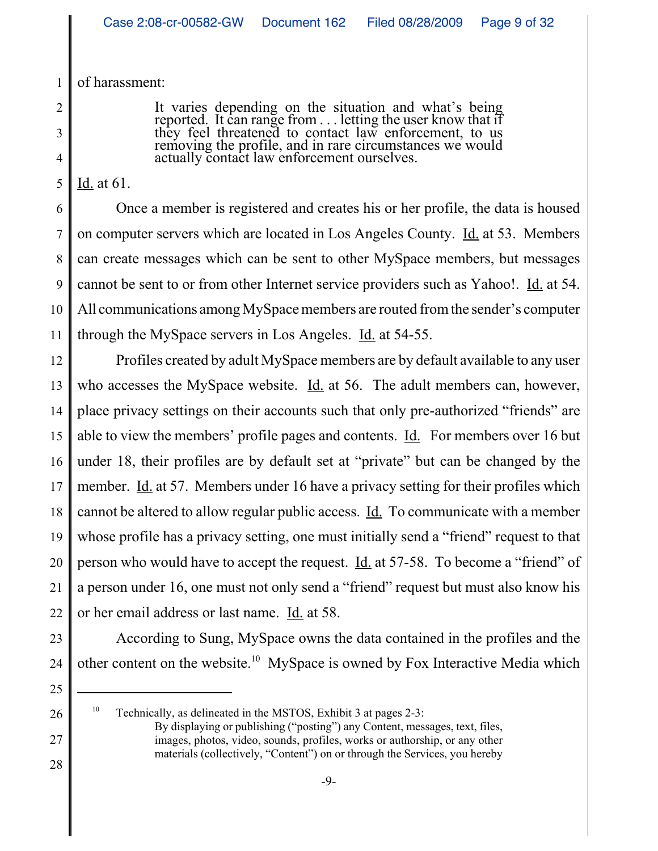1 of harassment:

2

3

4

It varies depending on the situation and what's being reported. It can range from . . . letting the user know that if they feel threatened to contact law enforcement, to us removing the profile, and in rare circumstances we would actually contact law enforcement ourselves.

5 Id. at 61.

6 7 8 9 10 11 Once a member is registered and creates his or her profile, the data is housed on computer servers which are located in Los Angeles County. Id. at 53. Members can create messages which can be sent to other MySpace members, but messages cannot be sent to or from other Internet service providers such as Yahoo!. Id. at 54. All communications among MySpace members are routed fromthe sender's computer through the MySpace servers in Los Angeles. Id. at 54-55.

12 13 14 15 16 17 18 19 20 21 22 Profiles created by adult MySpace members are by default available to any user who accesses the MySpace website. Id. at 56. The adult members can, however, place privacy settings on their accounts such that only pre-authorized "friends" are able to view the members' profile pages and contents. Id. For members over 16 but under 18, their profiles are by default set at "private" but can be changed by the member. Id. at 57. Members under 16 have a privacy setting for their profiles which cannot be altered to allow regular public access. Id. To communicate with a member whose profile has a privacy setting, one must initially send a "friend" request to that person who would have to accept the request. Id. at 57-58. To become a "friend" of a person under 16, one must not only send a "friend" request but must also know his or her email address or last name. Id. at 58.

23 24 According to Sung, MySpace owns the data contained in the profiles and the other content on the website.<sup>10</sup> MySpace is owned by Fox Interactive Media which

25 26

27

28

<sup>10</sup> Technically, as delineated in the MSTOS, Exhibit 3 at pages  $2-3$ :

By displaying or publishing ("posting") any Content, messages, text, files, images, photos, video, sounds, profiles, works or authorship, or any other materials (collectively, "Content") on or through the Services, you hereby

-9-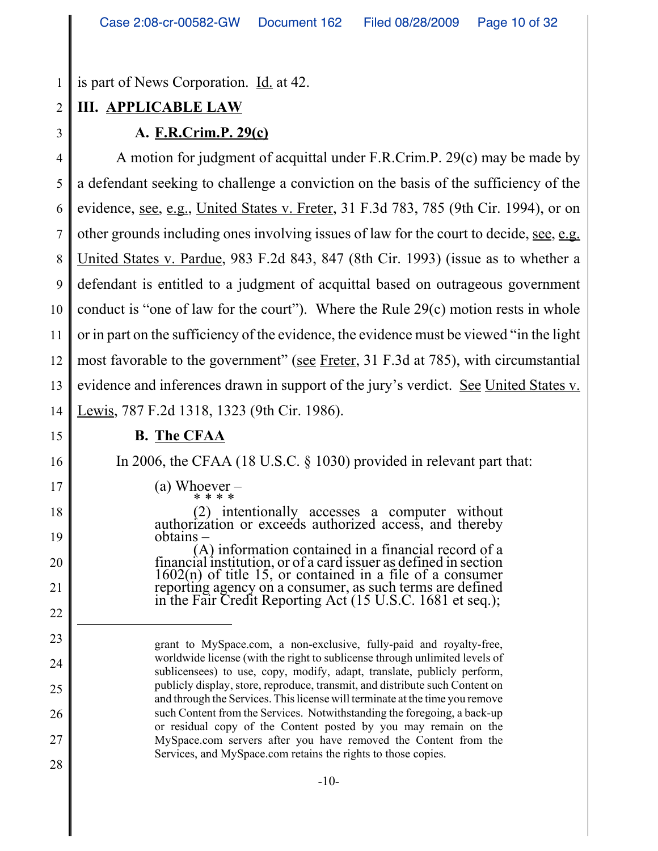is part of News Corporation. Id. at 42.

#### 2 **III. APPLICABLE LAW**

### **A. F.R.Crim.P. 29(c)**

4 5 6 7 8 9 10 11 12 13 14 A motion for judgment of acquittal under F.R.Crim.P. 29(c) may be made by a defendant seeking to challenge a conviction on the basis of the sufficiency of the evidence, see, e.g., United States v. Freter, 31 F.3d 783, 785 (9th Cir. 1994), or on other grounds including ones involving issues of law for the court to decide, see, e.g. United States v. Pardue, 983 F.2d 843, 847 (8th Cir. 1993) (issue as to whether a defendant is entitled to a judgment of acquittal based on outrageous government conduct is "one of law for the court"). Where the Rule 29(c) motion rests in whole or in part on the sufficiency of the evidence, the evidence must be viewed "in the light most favorable to the government" (see Freter, 31 F.3d at 785), with circumstantial evidence and inferences drawn in support of the jury's verdict. See United States v. Lewis, 787 F.2d 1318, 1323 (9th Cir. 1986).

15

16

17

18

19

20

21

22

23

24

25

26

27

28

1

3

### **B. The CFAA**

In 2006, the CFAA (18 U.S.C. § 1030) provided in relevant part that:

(a) Whoever  $-$ 

(2) intentionally accesses a computer without authorization or exceeds authorized access, and thereby obtains –

(A) information contained in a financial record of a financial institution, or of a card issuer as defined in section 1602(n) of title 15, or contained in a file of a consumer reporting agency on a consumer, as such terms are defined in the Fair Credit Reporting Act (15 U.S.C. 1681 et seq.);

grant to MySpace.com, a non-exclusive, fully-paid and royalty-free, worldwide license (with the right to sublicense through unlimited levels of sublicensees) to use, copy, modify, adapt, translate, publicly perform, publicly display, store, reproduce, transmit, and distribute such Content on and through the Services. Thislicense will terminate at the time you remove such Content from the Services. Notwithstanding the foregoing, a back-up or residual copy of the Content posted by you may remain on the MySpace.com servers after you have removed the Content from the Services, and MySpace.com retains the rights to those copies.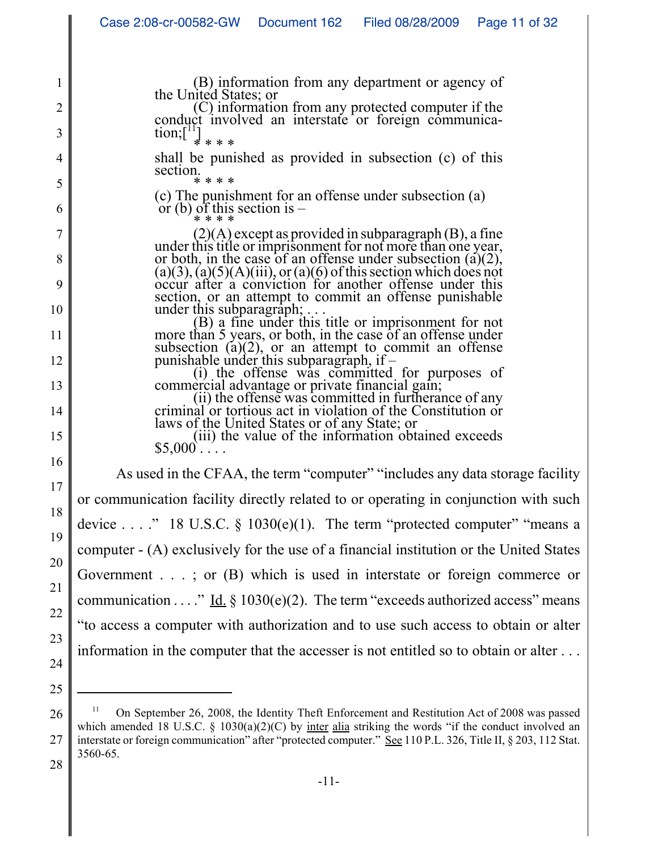1 2 3 4 5 6 7 8 9 10 11 12 13 14 15 16 17 18 19 20 21 22 23 24 (B) information from any department or agency of the United States; or (C) information from any protected computer if the conduct involved an interstate or foreign communica- $^{\rm 11} {\rm J}$ \* \* \* \* shall be punished as provided in subsection (c) of this section. \* \* \* \* (c) The punishment for an offense under subsection (a) or (b) of this section is –  $(2)(A)$  except as provided in subparagraph (B), a fine under this title or imprisonment for not more than one year, under this title or imprisonment for not more than one year, or both, in the case of an offense under subsection (a)(2), (a)(3), (a)(5)(A)(iii), or (a)(6) of this section which does not occur after a conviction for another offense under this section, or an attempt to commit an offense punishable under this subparagraph; ...<br>(B) a fine under this title or imprisonment for not more than 5 years, or both, in the case of an offense under subsection (a)(2), or an attempt to commit an offense<br>punishable under this subparagraph, if – punishable under this subparagraph, if – (i) the offense was committed for purposes of commercial advantage or private financial gain;<br>(ii) the offense was committed in furtherance of any criminal or tortious act in violation of the Constitution or laws of the United States or of any State; or (iii) the value of the information obtained exceeds  $$5,000$ ... As used in the CFAA, the term "computer" "includes any data storage facility or communication facility directly related to or operating in conjunction with such device . . . ." 18 U.S.C.  $\S$  1030(e)(1). The term "protected computer" "means a computer - (A) exclusively for the use of a financial institution or the United States Government . . . ; or (B) which is used in interstate or foreign commerce or communication  $\dots$ " Id. § 1030(e)(2). The term "exceeds authorized access" means "to access a computer with authorization and to use such access to obtain or alter information in the computer that the accesser is not entitled so to obtain or alter . . .

<sup>26</sup> 27 <sup>11</sup> On September 26, 2008, the Identity Theft Enforcement and Restitution Act of 2008 was passed which amended 18 U.S.C.  $\S$  1030(a)(2)(C) by inter alia striking the words "if the conduct involved an interstate or foreign communication" after "protected computer." See 110 P.L. 326, Title II, § 203, 112 Stat. 3560-65.

<sup>28</sup>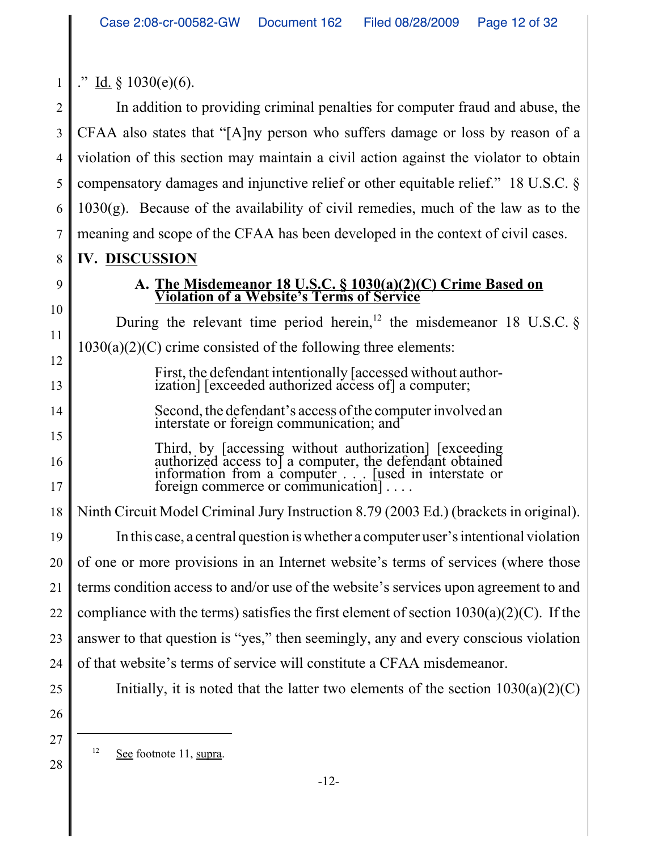1 ." Id.  $\S$  1030(e)(6).

2 3 4 5 6 7 In addition to providing criminal penalties for computer fraud and abuse, the CFAA also states that "[A]ny person who suffers damage or loss by reason of a violation of this section may maintain a civil action against the violator to obtain compensatory damages and injunctive relief or other equitable relief." 18 U.S.C. §  $1030(g)$ . Because of the availability of civil remedies, much of the law as to the meaning and scope of the CFAA has been developed in the context of civil cases.

- 8 **IV. DISCUSSION**
- 9

10

11

12

13

14

15

16

17

**A. The Misdemeanor 18 U.S.C. § 1030(a)(2)(C) Crime Based on Violation of a Website's Terms of Service**

During the relevant time period herein,<sup>12</sup> the misdemeanor 18 U.S.C.  $\S$  $1030(a)(2)(C)$  crime consisted of the following three elements:

First, the defendant intentionally [accessed without author-<br>ization] [exceeded authorized access of] a computer;

- Second, the defendant's access of the computer involved an interstate or foreign communication; and
	- Third, by [accessing without authorization] [exceeding authorized access to] a computer, the defendant obtained information from a computer . . . [used in interstate or foreign commerce or communication] . . . .

18 19 20 21 22 23 Ninth Circuit Model Criminal Jury Instruction 8.79 (2003 Ed.) (brackets in original). In this case, a central question is whether a computer user's intentional violation of one or more provisions in an Internet website's terms of services (where those terms condition access to and/or use of the website's services upon agreement to and compliance with the terms) satisfies the first element of section  $1030(a)(2)(C)$ . If the answer to that question is "yes," then seemingly, any and every conscious violation

- 24 of that website's terms of service will constitute a CFAA misdemeanor.
- 25

Initially, it is noted that the latter two elements of the section  $1030(a)(2)(C)$ 

26 27

<sup>&</sup>lt;sup>12</sup> See footnote 11, supra.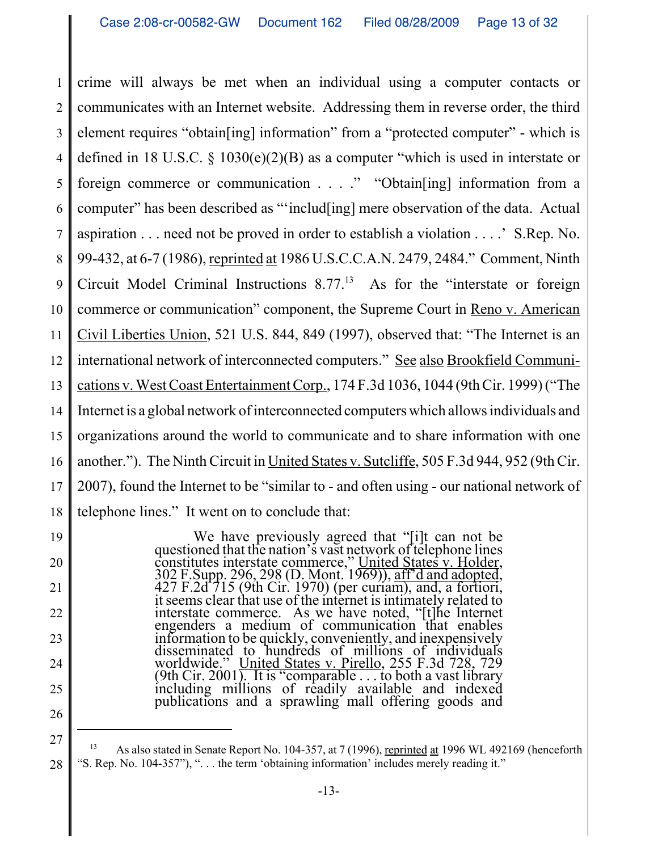1 2 3 4 5 6 7 8 9 10 11 12 13 14 15 16 17 18 crime will always be met when an individual using a computer contacts or communicates with an Internet website. Addressing them in reverse order, the third element requires "obtain[ing] information" from a "protected computer" - which is defined in 18 U.S.C.  $\S$  1030(e)(2)(B) as a computer "which is used in interstate or foreign commerce or communication . . . ." "Obtain[ing] information from a computer" has been described as "'includ[ing] mere observation of the data. Actual aspiration . . . need not be proved in order to establish a violation . . . .' S.Rep. No. 99-432, at 6-7 (1986), reprinted at 1986 U.S.C.C.A.N. 2479, 2484." Comment, Ninth Circuit Model Criminal Instructions 8.77. <sup>13</sup> As for the "interstate or foreign commerce or communication" component, the Supreme Court in Reno v. American Civil Liberties Union, 521 U.S. 844, 849 (1997), observed that: "The Internet is an international network of interconnected computers." See also Brookfield Communications v. West Coast Entertainment Corp., 174 F.3d 1036, 1044 (9thCir. 1999)("The Internet is a global network of interconnected computers which allows individuals and organizations around the world to communicate and to share information with one another."). The Ninth Circuit in United States v. Sutcliffe, 505 F.3d 944, 952 (9th Cir. 2007), found the Internet to be "similar to - and often using - our national network of telephone lines." It went on to conclude that:

> We have previously agreed that "[i]t can not be questioned that the nation's vast network of telephone lines constitutes interstate commerce," <u>United States v. Holder,</u><br>302 F.Supp. 296, 298 (D. Mont. 1969)), <u>aff'd and adopted,</u><br>427 F.2d 715 (9th Cir. 1970) (per curiam), and, a fortiori,<br>it seems clear that use of the internet i interstate commerce. As we have noted, "[t]he Internet engenders a medium of communication that enables information to be quickly, conveniently, and inexpensively disseminated to hundreds of millions of individuals worldwide." United States v. Pirello, 255 F.3d 728, 729 (9th Cir. 2001). It is "comparable . . . to both <sup>a</sup> vast library including millions of readily available and indexed publications and a sprawling mall offering goods and

26 27

28

19

20

21

22

23

24

As also stated in Senate Report No. 104-357, at 7 (1996), reprinted at 1996 WL 492169 (henceforth "S. Rep. No. 104-357"), ". . . the term 'obtaining information' includes merely reading it."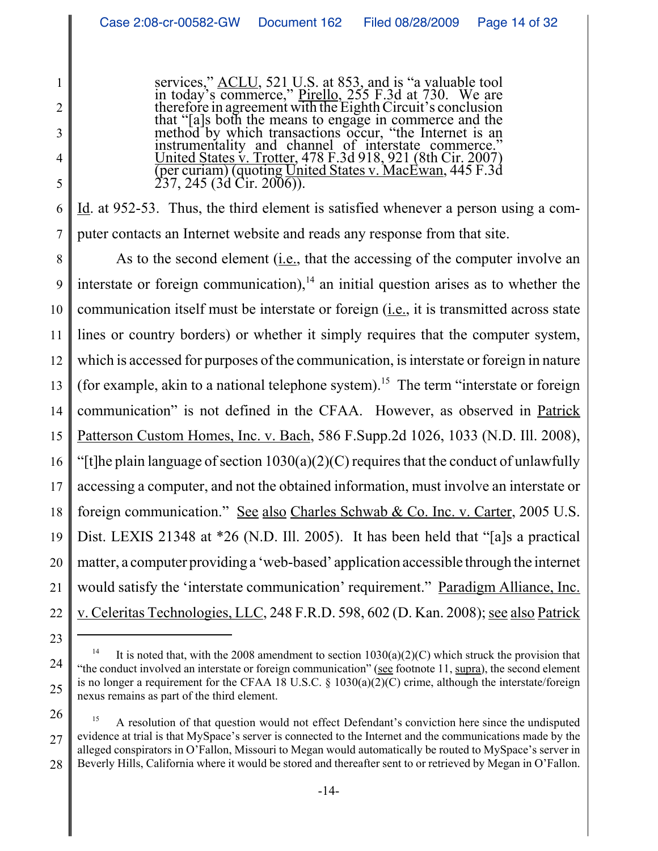services," ACLU, 521 U.S. at 853, and is "a valuable tool in today's commerce," Pirello, 255 F.3d at 730. We are therefore in agreement with the Eighth Circuit's conclusion that "[a]s both the means to engage in commerce and the method by which transactions occur, "the Internet is an instrumentality and channel of interstate commerce."<br>United States v. Trotter, 478 F.3d 918, 921 (8th Cir. 2007)<br>(per curiam) (quoting United States v. MacEwan, 445 F.3d 237, 245 (3d Cir. 2006)).

6 7 Id. at 952-53. Thus, the third element is satisfied whenever a person using a computer contacts an Internet website and reads any response from that site.

8 9 10 11 12 13 14 15 16 17 18 19 20 21 22 As to the second element (i.e., that the accessing of the computer involve an interstate or foreign communication),<sup>14</sup> an initial question arises as to whether the communication itself must be interstate or foreign (i.e., it is transmitted across state lines or country borders) or whether it simply requires that the computer system, which is accessed for purposes of the communication, is interstate or foreign in nature (for example, akin to a national telephone system).<sup>15</sup> The term "interstate or foreign communication" is not defined in the CFAA. However, as observed in Patrick Patterson Custom Homes, Inc. v. Bach, 586 F.Supp.2d 1026, 1033 (N.D. Ill. 2008), "[t]he plain language of section  $1030(a)(2)(C)$  requires that the conduct of unlawfully accessing a computer, and not the obtained information, must involve an interstate or foreign communication." See also Charles Schwab & Co. Inc. v. Carter, 2005 U.S. Dist. LEXIS 21348 at \*26 (N.D. Ill. 2005). It has been held that "[a]s a practical matter, a computer providing a 'web-based' application accessible through the internet would satisfy the 'interstate communication' requirement." Paradigm Alliance, Inc. v. Celeritas Technologies, LLC, 248 F.R.D. 598, 602 (D. Kan. 2008); see also Patrick

1

2

3

4

<sup>23</sup>

<sup>24</sup> 25 It is noted that, with the 2008 amendment to section  $1030(a)(2)(C)$  which struck the provision that "the conduct involved an interstate or foreign communication" (see footnote 11, supra), the second element is no longer a requirement for the CFAA 18 U.S.C.  $\S$  1030(a)(2)(C) crime, although the interstate/foreign nexus remains as part of the third element.

<sup>26</sup> 27 28 <sup>15</sup> A resolution of that question would not effect Defendant's conviction here since the undisputed evidence at trial is that MySpace's server is connected to the Internet and the communications made by the alleged conspirators in O'Fallon, Missouri to Megan would automatically be routed to MySpace's server in Beverly Hills, California where it would be stored and thereafter sent to or retrieved by Megan in O'Fallon.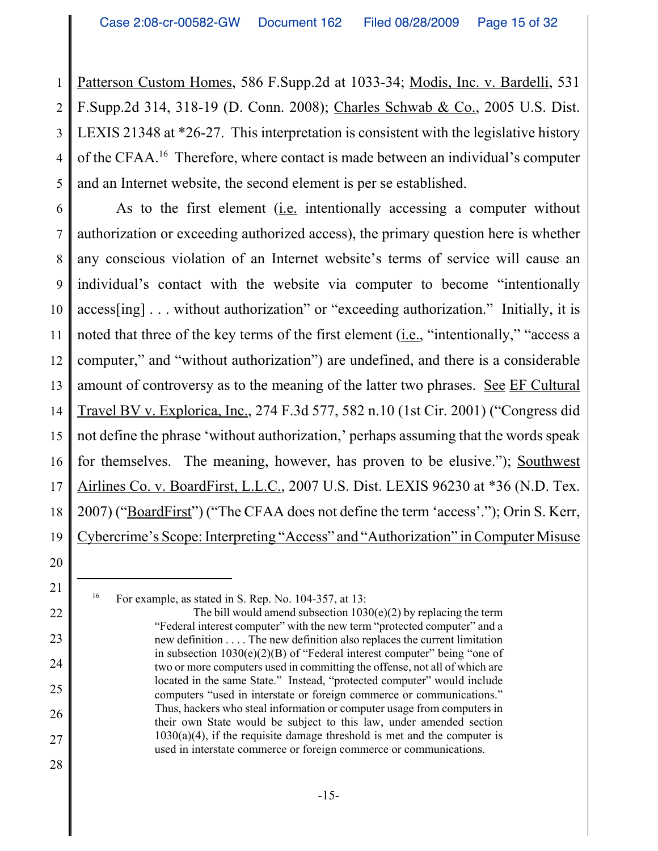1 2 3 4 5 Patterson Custom Homes, 586 F.Supp.2d at 1033-34; Modis, Inc. v. Bardelli, 531 F.Supp.2d 314, 318-19 (D. Conn. 2008); Charles Schwab & Co., 2005 U.S. Dist. LEXIS 21348 at \*26-27. This interpretation is consistent with the legislative history of the CFAA.16 Therefore, where contact is made between an individual's computer and an Internet website, the second element is per se established.

6 7 8 9 10 11 12 13 14 15 16 17 18 19 As to the first element (i.e. intentionally accessing a computer without authorization or exceeding authorized access), the primary question here is whether any conscious violation of an Internet website's terms of service will cause an individual's contact with the website via computer to become "intentionally access[ing] . . . without authorization" or "exceeding authorization." Initially, it is noted that three of the key terms of the first element (i.e., "intentionally," "access a computer," and "without authorization") are undefined, and there is a considerable amount of controversy as to the meaning of the latter two phrases. See EF Cultural Travel BV v. Explorica, Inc., 274 F.3d 577, 582 n.10 (1st Cir. 2001) ("Congress did not define the phrase 'without authorization,' perhaps assuming that the words speak for themselves. The meaning, however, has proven to be elusive."); Southwest Airlines Co. v. BoardFirst, L.L.C., 2007 U.S. Dist. LEXIS 96230 at \*36 (N.D. Tex. 2007) ("BoardFirst") ("The CFAA does not define the term 'access'."); Orin S. Kerr, Cybercrime's Scope:Interpreting "Access" and "Authorization" inComputer Misuse

20

21

22

23

24

25

26

27

<sup>&</sup>lt;sup>16</sup> For example, as stated in S. Rep. No. 104-357, at 13:

The bill would amend subsection  $1030(e)(2)$  by replacing the term "Federal interest computer" with the new term "protected computer" and a new definition . . . . The new definition also replaces the current limitation in subsection  $1030(e)(2)(B)$  of "Federal interest computer" being "one of two or more computers used in committing the offense, not all of which are located in the same State." Instead, "protected computer" would include computers "used in interstate or foreign commerce or communications." Thus, hackers who steal information or computer usage from computers in their own State would be subject to this law, under amended section  $1030(a)(4)$ , if the requisite damage threshold is met and the computer is used in interstate commerce or foreign commerce or communications.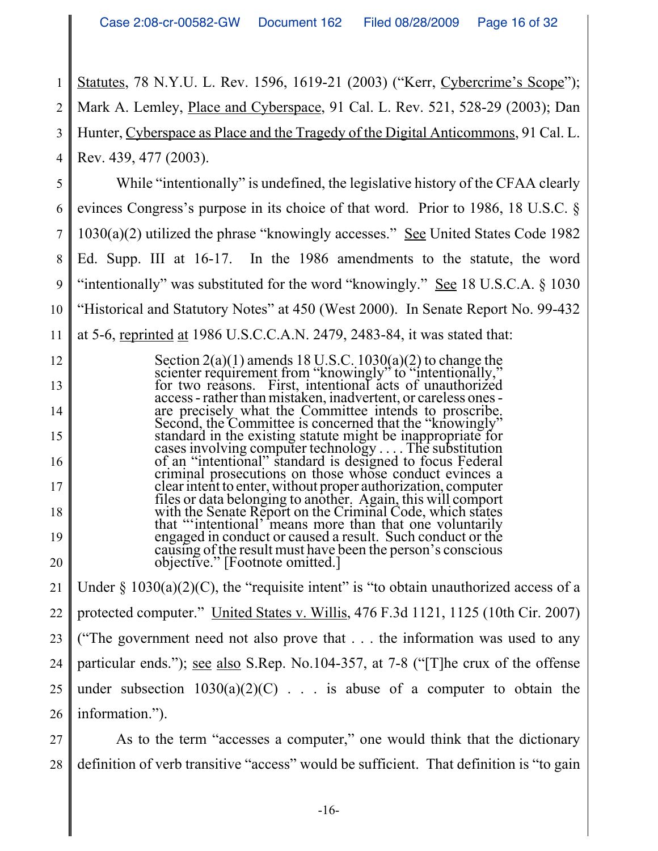1 Statutes, 78 N.Y.U. L. Rev. 1596, 1619-21 (2003) ("Kerr, Cybercrime's Scope");

2 3 4 Mark A. Lemley, Place and Cyberspace, 91 Cal. L. Rev. 521, 528-29 (2003); Dan Hunter, Cyberspace as Place and the Tragedy of the Digital Anticommons, 91 Cal. L. Rev. 439, 477 (2003).

5 6 7 8 9 10 11 While "intentionally" is undefined, the legislative history of the CFAA clearly evinces Congress's purpose in its choice of that word. Prior to 1986, 18 U.S.C. §  $1030(a)(2)$  utilized the phrase "knowingly accesses." See United States Code 1982 Ed. Supp. III at 16-17. In the 1986 amendments to the statute, the word "intentionally" was substituted for the word "knowingly." See 18 U.S.C.A. § 1030 "Historical and Statutory Notes" at 450 (West 2000). In Senate Report No. 99-432 at 5-6, reprinted at 1986 U.S.C.C.A.N. 2479, 2483-84, it was stated that:

Section  $2(a)(1)$  amends 18 U.S.C. 1030 $(a)(2)$  to change the scienter requirement from "knowingly" to "intentionally," for two reasons. First, intentional acts of unauthorized access - rather than mistaken, inadvertent, or careless ones-<br>are precisely what the Committee intends to proscribe.<br>Second, the Committee is concerned that the "knowingly"<br>standard in the existing statute might be inappro casesinvolving computer technology . . . . The substitution of an "intentional" standard is designed to focus Federal criminal prosecutions on those whose conduct evinces a clearintent to enter,without proper authorization, computer files or data belonging to another. Again, this will comport with the Senate Report on the Criminal Code, which states that "'intentional' means more than that one voluntarily engaged in conduct or caused a result. Such conduct or the causing of the result must have been the person's conscious objective." [Footnote omitted.]

12

13

14

15

16

17

18

19

20

21 22 23 24 25 26 Under  $\S$  1030(a)(2)(C), the "requisite intent" is "to obtain unauthorized access of a protected computer." United States v. Willis, 476 F.3d 1121, 1125 (10th Cir. 2007) ("The government need not also prove that . . . the information was used to any particular ends."); see also S.Rep. No.104-357, at 7-8 ("[T]he crux of the offense under subsection  $1030(a)(2)(C)$ ... is abuse of a computer to obtain the information.").

27 28 As to the term "accesses a computer," one would think that the dictionary definition of verb transitive "access" would be sufficient. That definition is "to gain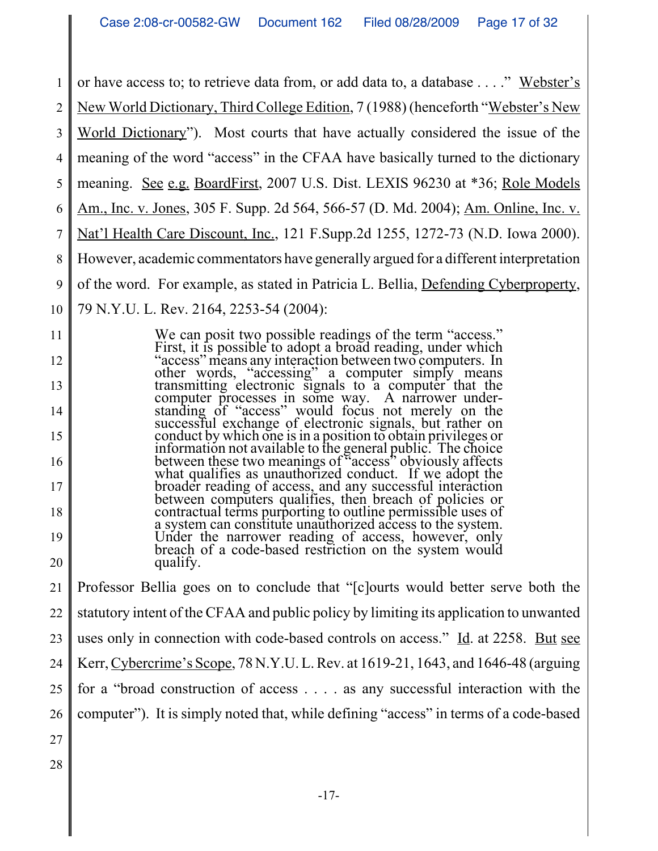1 2 3 4 5 6 7 8 9 or have access to; to retrieve data from, or add data to, a database . . . ." Webster's New World Dictionary, Third College Edition, 7 (1988) (henceforth "Webster's New World Dictionary"). Most courts that have actually considered the issue of the meaning of the word "access" in the CFAA have basically turned to the dictionary meaning. See e.g. BoardFirst, 2007 U.S. Dist. LEXIS 96230 at \*36; Role Models Am., Inc. v. Jones, 305 F. Supp. 2d 564, 566-57 (D. Md. 2004); Am. Online, Inc. v. Nat'l Health Care Discount, Inc., 121 F.Supp.2d 1255, 1272-73 (N.D. Iowa 2000). However, academic commentators have generally argued for a different interpretation of the word. For example, as stated in Patricia L. Bellia, Defending Cyberproperty,

10 79 N.Y.U. L. Rev. 2164, 2253-54 (2004):

11 12 13 14 15 16 17 18 19 20 We can posit two possible readings of the term "access." First, it is possible to adopt a broad reading, under which "access" means any interaction between two computers. In other words, "accessing" a computer simply means transmitting electronic signals to a computer that the computer processes in some way. A narrower under-<br>standing of "access" would focus not merely on the successful exchange of electronic signals, but rather on conduct by which one is in a position to obtain privileges or information not available to the general public. The choice between these two meanings of "access" obviously affects what qualifies as unauthorized conduct. If we adopt the broader reading of access, and any successful interaction between computers qualifies, then breach of policies or contractual terms purporting to outline permissible uses of Under the narrower reading of access, however, only breach of a code-based restriction on the system would qualify.

21 22 23 24 25 26 27 Professor Bellia goes on to conclude that "[c]ourts would better serve both the statutory intent of the CFAA and public policy by limiting its application to unwanted uses only in connection with code-based controls on access." Id. at 2258. But see Kerr,Cybercrime's Scope, 78 N.Y.U. L.Rev. at 1619-21, 1643, and 1646-48 (arguing for a "broad construction of access . . . . as any successful interaction with the computer"). It is simply noted that, while defining "access" in terms of a code-based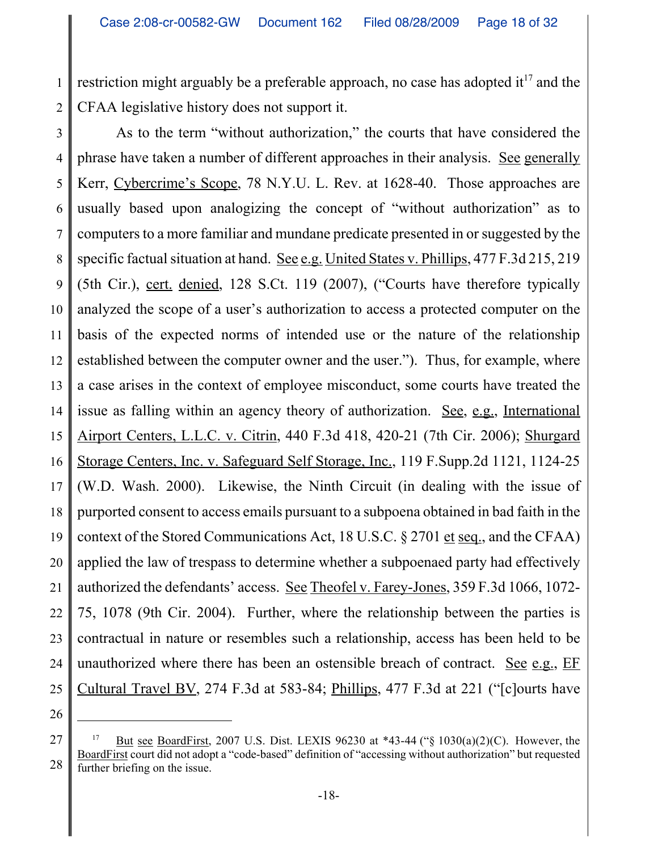1 2 restriction might arguably be a preferable approach, no case has adopted  $it^{17}$  and the CFAA legislative history does not support it.

3 4 5 6 7 8 9 10 11 12 13 14 15 16 17 18 19 20 21 22 23 24 25 As to the term "without authorization," the courts that have considered the phrase have taken a number of different approaches in their analysis. See generally Kerr, Cybercrime's Scope, 78 N.Y.U. L. Rev. at 1628-40. Those approaches are usually based upon analogizing the concept of "without authorization" as to computers to a more familiar and mundane predicate presented in or suggested by the specific factual situation at hand. See e.g. United States v. Phillips, 477 F.3d 215, 219 (5th Cir.), cert. denied, 128 S.Ct. 119 (2007), ("Courts have therefore typically analyzed the scope of a user's authorization to access a protected computer on the basis of the expected norms of intended use or the nature of the relationship established between the computer owner and the user."). Thus, for example, where a case arises in the context of employee misconduct, some courts have treated the issue as falling within an agency theory of authorization. See, e.g., International Airport Centers, L.L.C. v. Citrin, 440 F.3d 418, 420-21 (7th Cir. 2006); Shurgard Storage Centers, Inc. v. Safeguard Self Storage, Inc., 119 F.Supp.2d 1121, 1124-25 (W.D. Wash. 2000). Likewise, the Ninth Circuit (in dealing with the issue of purported consent to access emails pursuant to a subpoena obtained in bad faith in the context of the Stored Communications Act, 18 U.S.C. § 2701 et seq., and the CFAA) applied the law of trespass to determine whether a subpoenaed party had effectively authorized the defendants' access. See Theofel v. Farey-Jones, 359 F.3d 1066, 1072- 75, 1078 (9th Cir. 2004). Further, where the relationship between the parties is contractual in nature or resembles such a relationship, access has been held to be unauthorized where there has been an ostensible breach of contract. See e.g., EF Cultural Travel BV, 274 F.3d at 583-84; Phillips, 477 F.3d at 221 ("[c]ourts have

26 27

<sup>17</sup> But see BoardFirst, 2007 U.S. Dist. LEXIS 96230 at \*43-44 ("§ 1030(a)(2)(C). However, the BoardFirst court did not adopt a "code-based" definition of "accessing without authorization" but requested further briefing on the issue.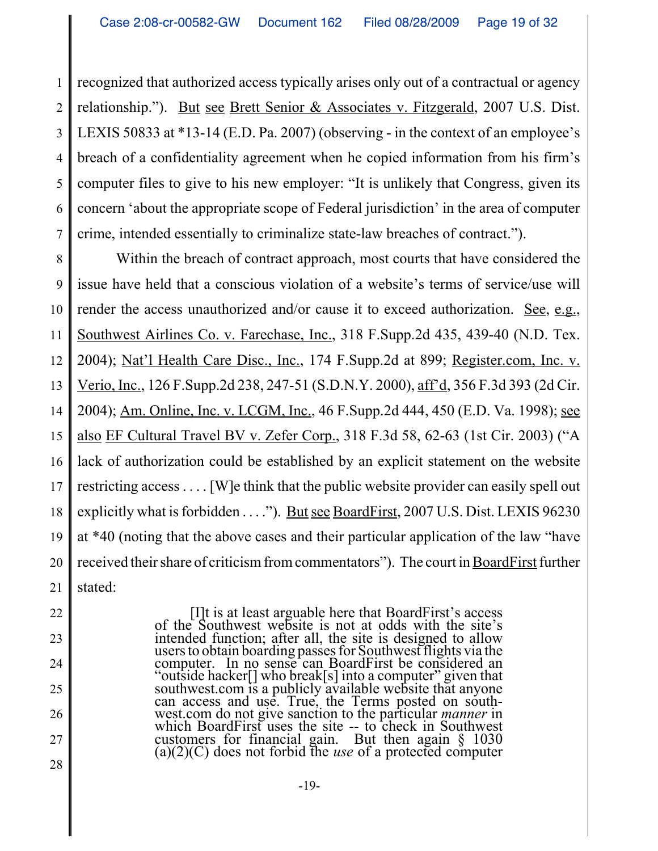1 2 3 4 5 6 7 recognized that authorized access typically arises only out of a contractual or agency relationship."). But see Brett Senior & Associates v. Fitzgerald, 2007 U.S. Dist. LEXIS 50833 at \*13-14 (E.D. Pa. 2007) (observing - in the context of an employee's breach of a confidentiality agreement when he copied information from his firm's computer files to give to his new employer: "It is unlikely that Congress, given its concern 'about the appropriate scope of Federal jurisdiction' in the area of computer crime, intended essentially to criminalize state-law breaches of contract.").

8 9 10 11 12 13 14 15 16 17 18 19 20 21 Within the breach of contract approach, most courts that have considered the issue have held that a conscious violation of a website's terms of service/use will render the access unauthorized and/or cause it to exceed authorization. See, e.g., Southwest Airlines Co. v. Farechase, Inc., 318 F.Supp.2d 435, 439-40 (N.D. Tex. 2004); Nat'l Health Care Disc., Inc., 174 F.Supp.2d at 899; Register.com, Inc. v. Verio, Inc., 126 F.Supp.2d 238, 247-51 (S.D.N.Y. 2000), aff'd, 356 F.3d 393 (2d Cir. 2004); Am. Online, Inc. v. LCGM, Inc., 46 F.Supp.2d 444, 450 (E.D. Va. 1998); see also EF Cultural Travel BV v. Zefer Corp., 318 F.3d 58, 62-63 (1st Cir. 2003) ("A lack of authorization could be established by an explicit statement on the website restricting access . . . . [W]e think that the public website provider can easily spell out explicitly what is forbidden  $\dots$ ."). But see BoardFirst, 2007 U.S. Dist. LEXIS 96230 at \*40 (noting that the above cases and their particular application of the law "have received their share of criticism from commentators"). The court in BoardFirst further stated:

- 22
- 23 24

25

26

27

28

[I]t is at least arguable here that BoardFirst's access of the Southwest website is not at odds with the site's intended function; after all, the site is designed to allow users to obtain boarding passes for Southwest flights via the computer. In no sense can BoardFirst be considered an "outside hacker[] who break[s] into a computer" given that southwest.com is a publicly available website that anyone can access and use. True, the Terms posted on south- west.com do not give sanction to the particular *manner* in which BoardFirst uses the site -- to check in Southwest customers for financial gain. But then again § 1030 (a)(2)(C) does not forbid the *use* of a protected computer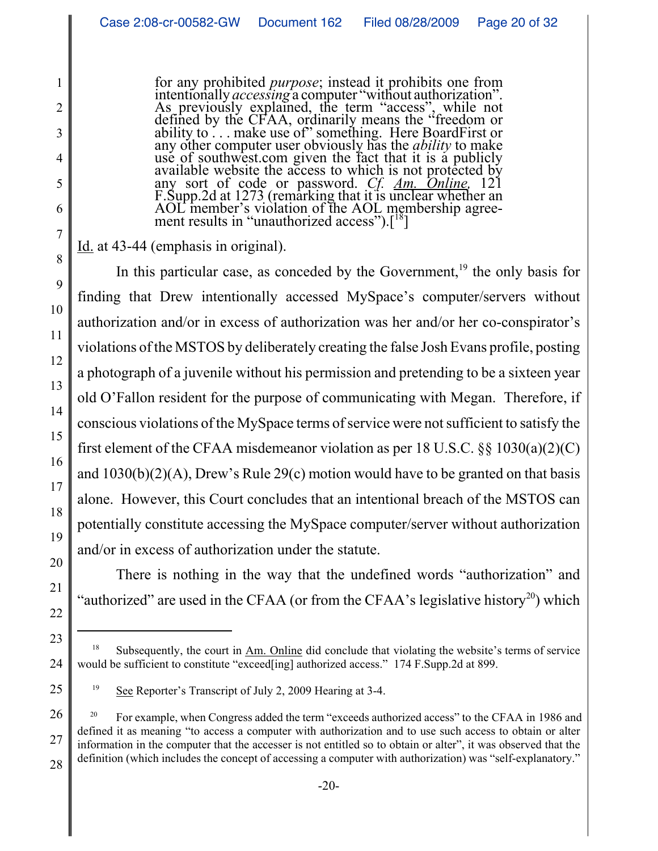for any prohibited *purpose*; instead it prohibits one from intentionally *accessing* <sup>a</sup> computer "without authorization". As previously explained, the term "access", while not defined by the CFAA, ordinarily means the "freedom or ability to . . . make use of" something. Here BoardFirst or any other computer user obviously has the *ability* to make use of southwest.com given the fact that it is <sup>a</sup> publicly available website the access to which is not protected by any sort of code or password. *Cf. Am. Online,* 121 F.Supp.2d at 1273 (remarking that it is unclear whether an AOL member's violation of the AOL membership agreement results in "unauthorized access").[<sup>18</sup>]

Id. at 43-44 (emphasis in original).

In this particular case, as conceded by the Government,<sup>19</sup> the only basis for finding that Drew intentionally accessed MySpace's computer/servers without authorization and/or in excess of authorization was her and/or her co-conspirator's violations ofthe MSTOS by deliberately creating the false Josh Evans profile, posting a photograph of a juvenile without his permission and pretending to be a sixteen year old O'Fallon resident for the purpose of communicating with Megan. Therefore, if conscious violations of the MySpace terms of service were not sufficient to satisfy the first element of the CFAA misdemeanor violation as per 18 U.S.C. §§ 1030(a)(2)(C) and  $1030(b)(2)(A)$ , Drew's Rule 29(c) motion would have to be granted on that basis alone. However, this Court concludes that an intentional breach of the MSTOS can potentially constitute accessing the MySpace computer/server without authorization and/or in excess of authorization under the statute.

There is nothing in the way that the undefined words "authorization" and "authorized" are used in the CFAA (or from the CFAA's legislative history<sup>20</sup>) which

Subsequently, the court in Am. Online did conclude that violating the website's terms of service would be sufficient to constitute "exceed [ing] authorized access." 174 F. Supp. 2d at 899.

<sup>&</sup>lt;sup>19</sup> See Reporter's Transcript of July 2, 2009 Hearing at 3-4.

<sup>28</sup> <sup>20</sup> For example, when Congress added the term "exceeds authorized access" to the CFAA in 1986 and defined it as meaning "to access a computer with authorization and to use such access to obtain or alter information in the computer that the accesser is not entitled so to obtain or alter", it was observed that the definition (which includes the concept of accessing a computer with authorization) was "self-explanatory."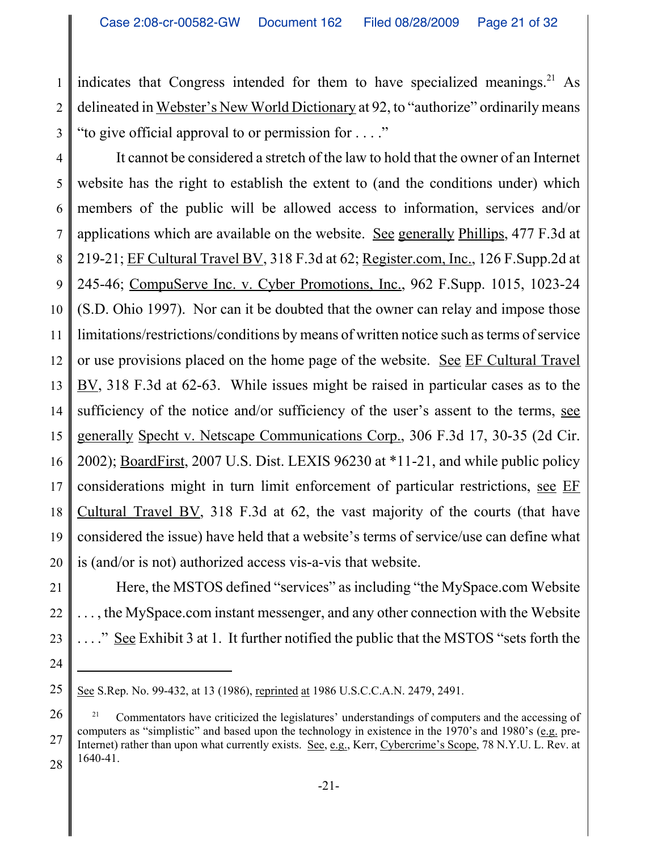1 2 3 indicates that Congress intended for them to have specialized meanings. $^{21}$  As delineated in Webster's New World Dictionary at 92, to "authorize" ordinarily means "to give official approval to or permission for . . . ."

4 5 6 7 8 9 10 11 12 13 14 15 16 17 18 19 20 It cannot be considered a stretch of the law to hold that the owner of an Internet website has the right to establish the extent to (and the conditions under) which members of the public will be allowed access to information, services and/or applications which are available on the website. See generally Phillips, 477 F.3d at 219-21; EF Cultural Travel BV, 318 F.3d at 62; Register.com, Inc., 126 F.Supp.2d at 245-46; CompuServe Inc. v. Cyber Promotions, Inc., 962 F.Supp. 1015, 1023-24 (S.D. Ohio 1997). Nor can it be doubted that the owner can relay and impose those limitations/restrictions/conditions by means of written notice such as terms of service or use provisions placed on the home page of the website. See EF Cultural Travel BV, 318 F.3d at 62-63. While issues might be raised in particular cases as to the sufficiency of the notice and/or sufficiency of the user's assent to the terms, see generally Specht v. Netscape Communications Corp., 306 F.3d 17, 30-35 (2d Cir. 2002); BoardFirst, 2007 U.S. Dist. LEXIS 96230 at \*11-21, and while public policy considerations might in turn limit enforcement of particular restrictions, see EF Cultural Travel BV, 318 F.3d at 62, the vast majority of the courts (that have considered the issue) have held that a website's terms of service/use can define what is (and/or is not) authorized access vis-a-vis that website.

21 22 23 Here, the MSTOS defined "services" as including "the MySpace.com Website . . . , the MySpace.com instant messenger, and any other connection with the Website . . . ." See Exhibit 3 at 1. It further notified the public that the MSTOS "sets forth the

24

See S.Rep. No. 99-432, at 13 (1986), reprinted at 1986 U.S.C.C.A.N. 2479, 2491.

<sup>26</sup> 27 28 <sup>21</sup> Commentators have criticized the legislatures' understandings of computers and the accessing of computers as "simplistic" and based upon the technology in existence in the 1970's and 1980's (e.g. pre-Internet) rather than upon what currently exists. See, e.g., Kerr, Cybercrime's Scope, 78 N.Y.U. L. Rev. at 1640-41.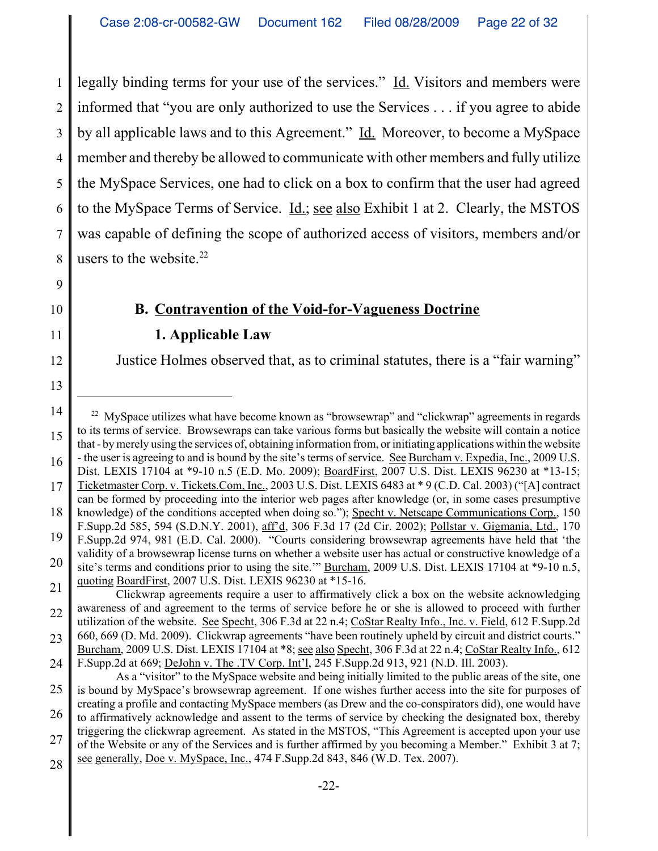1 2 3 4 5 6 7 8 legally binding terms for your use of the services." Id. Visitors and members were informed that "you are only authorized to use the Services . . . if you agree to abide by all applicable laws and to this Agreement." Id. Moreover, to become a MySpace member and thereby be allowed to communicate with other members and fully utilize the MySpace Services, one had to click on a box to confirm that the user had agreed to the MySpace Terms of Service. Id.; see also Exhibit 1 at 2. Clearly, the MSTOS was capable of defining the scope of authorized access of visitors, members and/or users to the website. $22$ 

### **B. Contravention of the Void-for-Vagueness Doctrine**

#### **1. Applicable Law**

9

10

11

12

13

Justice Holmes observed that, as to criminal statutes, there is a "fair warning"

14 15 16 17 18 19 20 21 <sup>22</sup> MySpace utilizes what have become known as "browsewrap" and "clickwrap" agreements in regards to its terms of service. Browsewraps can take various forms but basically the website will contain a notice that- by merely using the services of, obtaining information from, orinitiating applications within the website - the user is agreeing to and is bound by the site's terms of service. See Burcham v. Expedia, Inc., 2009 U.S. Dist. LEXIS 17104 at \*9-10 n.5 (E.D. Mo. 2009); BoardFirst, 2007 U.S. Dist. LEXIS 96230 at \*13-15; Ticketmaster Corp. v. Tickets.Com, Inc., 2003 U.S. Dist. LEXIS 6483 at \* 9 (C.D. Cal. 2003) ("[A] contract can be formed by proceeding into the interior web pages after knowledge (or, in some cases presumptive knowledge) of the conditions accepted when doing so."); Specht v. Netscape Communications Corp., 150 F.Supp.2d 585, 594 (S.D.N.Y. 2001), aff'd, 306 F.3d 17 (2d Cir. 2002); Pollstar v. Gigmania, Ltd., 170 F.Supp.2d 974, 981 (E.D. Cal. 2000). "Courts considering browsewrap agreements have held that 'the validity of a browsewrap license turns on whether a website user has actual or constructive knowledge of a site's terms and conditions prior to using the site."" Burcham, 2009 U.S. Dist. LEXIS 17104 at \*9-10 n.5, quoting BoardFirst, 2007 U.S. Dist. LEXIS 96230 at \*15-16. Clickwrap agreements require a user to affirmatively click a box on the website acknowledging awareness of and agreement to the terms of service before he or she is allowed to proceed with further

22 23 24 utilization of the website. See Specht, 306 F.3d at 22 n.4; CoStar Realty Info., Inc. v. Field, 612 F.Supp.2d 660, 669 (D. Md. 2009). Clickwrap agreements "have been routinely upheld by circuit and district courts." Burcham, 2009 U.S. Dist. LEXIS 17104 at \*8; see also Specht, 306 F.3d at 22 n.4; CoStar Realty Info., 612 F.Supp.2d at 669; DeJohn v. The .TV Corp. Int'l, 245 F.Supp.2d 913, 921 (N.D. Ill. 2003).

<sup>25</sup> 26 27 28 As a "visitor" to the MySpace website and being initially limited to the public areas of the site, one is bound by MySpace's browsewrap agreement. If one wishes further access into the site for purposes of creating a profile and contacting MySpace members (as Drew and the co-conspirators did), one would have to affirmatively acknowledge and assent to the terms of service by checking the designated box, thereby triggering the clickwrap agreement. As stated in the MSTOS, "This Agreement is accepted upon your use of the Website or any of the Services and is further affirmed by you becoming a Member." Exhibit 3 at 7; see generally, Doe v. MySpace, Inc., 474 F.Supp.2d 843, 846 (W.D. Tex. 2007).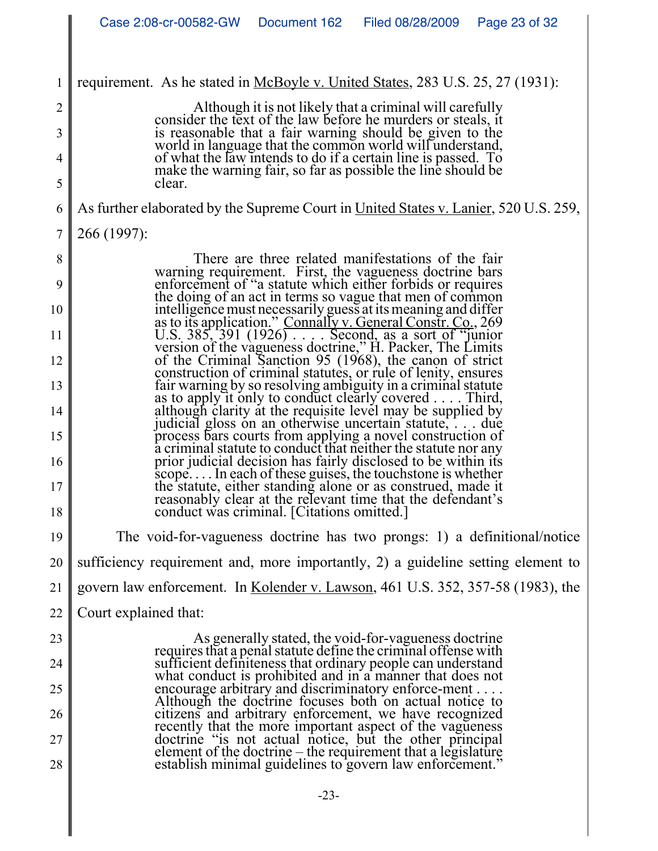1 2 3 4 5 6 7 8 9 10 11 12 13 14 15 16 17 18 19 20 21 22 23 24 25 26 27 28 requirement. As he stated in <u>McBoyle v. United States</u>, 283 U.S. 25, 27 (1931): Although it is not likely that <sup>a</sup> criminal will carefully consider the text of the law before he murders or steals, it is reasonable that a fair warning should be given to the world in language that the common world will understand, of what the law intends to do if a certain line is passed. To make the warning fair, so far as possible the line should be clear. As further elaborated by the Supreme Court in United States v. Lanier, 520 U.S. 259, 266 (1997): There are three related manifestations of the fair warning requirement. First, the vagueness doctrine bars enforcement of "a statute which either forbids or requires the doing of an act in terms so vague that men of common intelligencemust necessarily guess at itsmeaning and differ as to its application." Connally v. General Constr. Co., 269 U.S. 385, 391 (1926) . . . . Second, as a sort of "junior version of the vagueness doctrine," H. Packer, The Limits of the Criminal Sanction 95 (1968), the canon of strict construction of criminal statutes, or rule of lenity, ensures fair warning by so resolving ambiguity in a criminal statute as to apply it only to conduct clearly covered . . . . Third, although clarity at the requisite level may be supplied by judicial gloss on an otherwise uncertain statute, . . . due process bars courts from applying a novel construction of a criminal statute to conduct that neither the statute nor any prior judicial decision has fairly disclosed to be within its scope. . . . In each of these guises, the touchstone is whether the statute, either standing alone or as construed, made it reasonably clear at the relevant time that the defendant's conduct was criminal. [Citations omitted.] The void-for-vagueness doctrine has two prongs: 1) a definitional/notice sufficiency requirement and, more importantly, 2) a guideline setting element to govern law enforcement. In Kolender v. Lawson, 461 U.S. 352, 357-58 (1983), the Court explained that: As generally stated, the void-for-vagueness doctrine requires that a penal statute define the criminal offense with sufficient definiteness that ordinary people can understand what conduct is prohibited and in a manner that does not encourage arbitrary and discriminatory enforce-ment . . . . Although the doctrine focuses both on actual notice to citizens and arbitrary enforcement, we have recognized recently that the more important aspect of the vagueness doctrine "is not actual notice, but the other principal element of the doctrine – the requirement that a legislature establish minimal guidelines to govern law enforcement."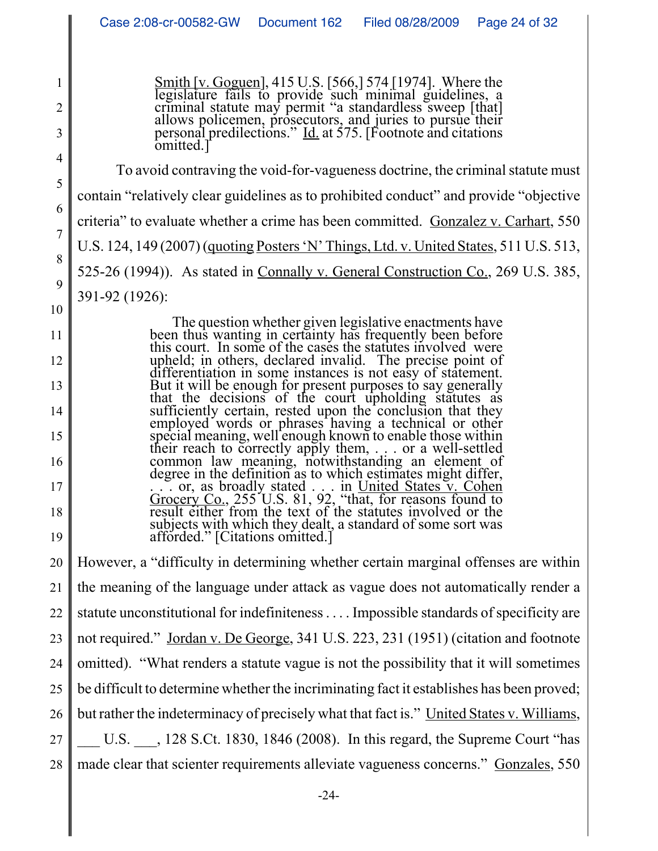Smith [v. Goguen], 415 U.S. [566,] 574 [1974]. Where the legislature fails to provide such minimal guidelines, a criminal statute may permit "a standardless sweep [that] allows policemen, prosecutors, and juries to pursue their allows policemen, prosecutors, and juries to pursue their personal predilections." Id. at 575. [Footnote and citations omitted.]

1

2

3

4

5

6

7

8

9

10

11

12

13

14

15

16

17

18

19

To avoid contraving the void-for-vagueness doctrine, the criminal statute must contain "relatively clear guidelines as to prohibited conduct" and provide "objective criteria" to evaluate whether a crime has been committed. Gonzalez v. Carhart, 550 U.S. 124, 149 (2007)(quoting Posters'N' Things, Ltd. v. United States, 511 U.S. 513, 525-26 (1994)). As stated in Connally v. General Construction Co., 269 U.S. 385, 391-92 (1926):

The question whether given legislative enactments have been thus wanting in certainty has frequently been before this court. In some of the cases the statutes involved were upheld; in others, declared invalid. The precise point of differentiation in some instances is not easy of statement. differentiation in some instances is not easy of statement. But it will be enough for present purposes to say generally that the decisions of the court upholding statutes as sufficiently certain, rested upon the conclusion that they employed words or phrases having a technical or other special meaning, well enough known to enable those within their reach to correctly apply them, ... or a well-settled common law meaning, notwithstanding an element of degree in the definition as to which estimates might differ, ... . or, as broadly stated . ... . in United States v. Cohen Grocery Co., 255 U.S. 81, 92, "that, for reasons found to result either from the text of the statutes involved or the subjects with which they dealt, a standard of some sort was afforded." [Citations omitted.]

20 21 22 23 24 25 26 27 28 However, a "difficulty in determining whether certain marginal offenses are within the meaning of the language under attack as vague does not automatically render a statute unconstitutional for indefiniteness . . . . Impossible standards of specificity are not required." Jordan v. De George, 341 U.S. 223, 231 (1951) (citation and footnote omitted). "What renders a statute vague is not the possibility that it will sometimes be difficult to determine whether the incriminating fact it establishes has been proved; but rather the indeterminacy of precisely what that fact is." United States v. Williams, U.S.  $\ldots$ , 128 S.Ct. 1830, 1846 (2008). In this regard, the Supreme Court "has made clear that scienter requirements alleviate vagueness concerns." Gonzales, 550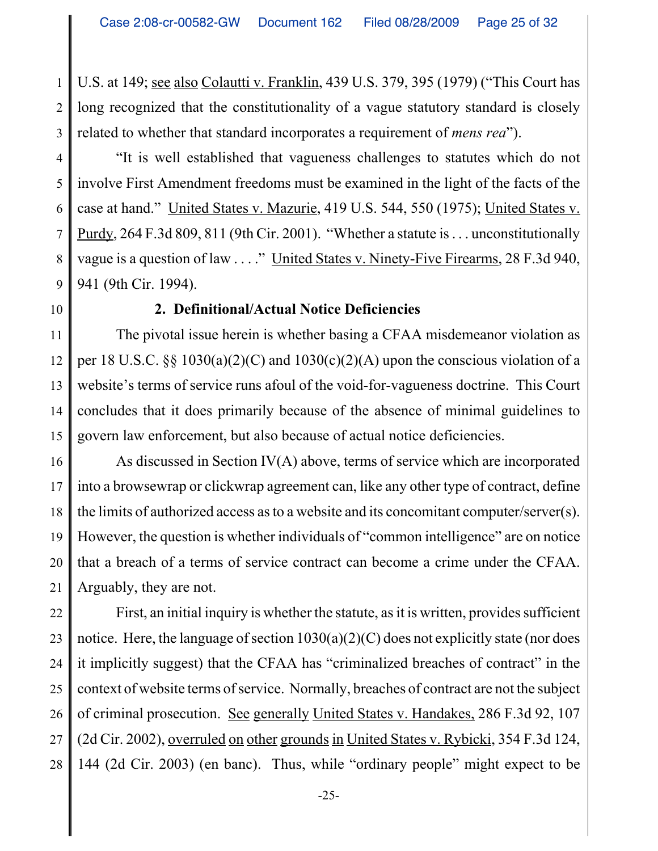1 2 3 U.S. at 149; see also Colautti v. Franklin, 439 U.S. 379, 395 (1979) ("This Court has long recognized that the constitutionality of a vague statutory standard is closely related to whether that standard incorporates a requirement of *mens rea*").

4 5 6 7 8 9 "It is well established that vagueness challenges to statutes which do not involve First Amendment freedoms must be examined in the light of the facts of the case at hand." United States v. Mazurie, 419 U.S. 544, 550 (1975); United States v. Purdy, 264 F.3d 809, 811 (9th Cir. 2001). "Whether a statute is . . . unconstitutionally vague is a question of law . . . ." United States v. Ninety-Five Firearms, 28 F.3d 940, 941 (9th Cir. 1994).

10

#### **2. Definitional/Actual Notice Deficiencies**

11 12 13 14 15 The pivotal issue herein is whether basing a CFAA misdemeanor violation as per 18 U.S.C.  $\S$  1030(a)(2)(C) and 1030(c)(2)(A) upon the conscious violation of a website's terms of service runs afoul of the void-for-vagueness doctrine. This Court concludes that it does primarily because of the absence of minimal guidelines to govern law enforcement, but also because of actual notice deficiencies.

16 17 18 19 20 21 As discussed in Section IV(A) above, terms of service which are incorporated into a browsewrap or clickwrap agreement can, like any other type of contract, define the limits of authorized access as to a website and its concomitant computer/server(s). However, the question is whether individuals of "common intelligence" are on notice that a breach of a terms of service contract can become a crime under the CFAA. Arguably, they are not.

22 23 24 25 26 27 28 First, an initial inquiry is whether the statute, as it is written, provides sufficient notice. Here, the language of section  $1030(a)(2)(C)$  does not explicitly state (nor does it implicitly suggest) that the CFAA has "criminalized breaches of contract" in the context of website terms of service. Normally, breaches of contract are not the subject of criminal prosecution. See generally United States v. Handakes, 286 F.3d 92, 107 (2d Cir. 2002), overruled on other grounds in United States v. Rybicki, 354 F.3d 124, 144 (2d Cir. 2003) (en banc). Thus, while "ordinary people" might expect to be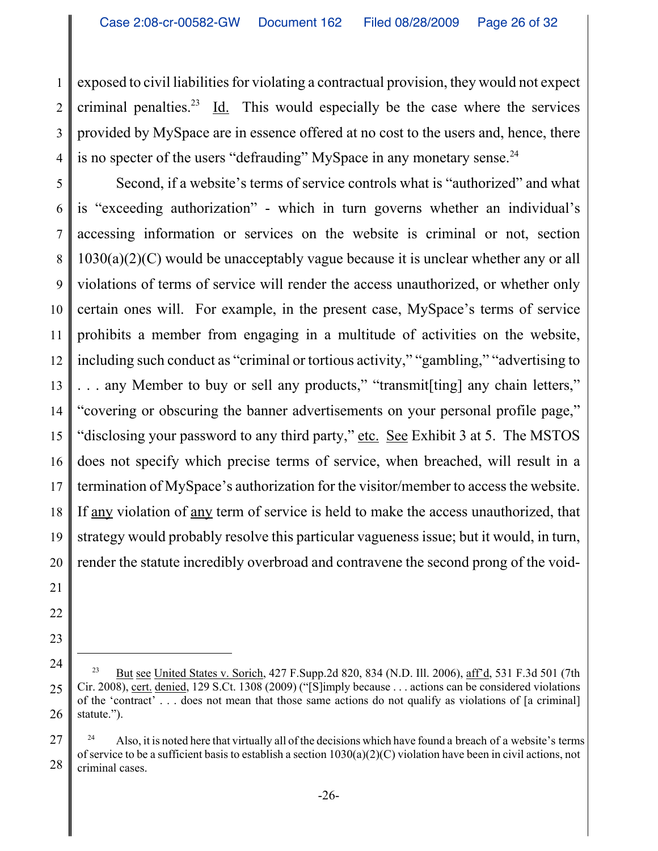1 2 3 4 exposed to civil liabilities for violating a contractual provision, they would not expect criminal penalties.<sup>23</sup> Id. This would especially be the case where the services provided by MySpace are in essence offered at no cost to the users and, hence, there is no specter of the users "defrauding" MySpace in any monetary sense. $24$ 

5 6 7 8 9 10 11 12 13 14 15 16 17 18 19 20 Second, if a website's terms of service controls what is "authorized" and what is "exceeding authorization" - which in turn governs whether an individual's accessing information or services on the website is criminal or not, section  $1030(a)(2)(C)$  would be unacceptably vague because it is unclear whether any or all violations of terms of service will render the access unauthorized, or whether only certain ones will. For example, in the present case, MySpace's terms of service prohibits a member from engaging in a multitude of activities on the website, including such conduct as "criminal or tortious activity," "gambling," "advertising to . . . any Member to buy or sell any products," "transmit[ting] any chain letters," "covering or obscuring the banner advertisements on your personal profile page," "disclosing your password to any third party," etc. See Exhibit 3 at 5. The MSTOS does not specify which precise terms of service, when breached, will result in a termination of MySpace's authorization for the visitor/member to access the website. If any violation of any term of service is held to make the access unauthorized, that strategy would probably resolve this particular vagueness issue; but it would, in turn, render the statute incredibly overbroad and contravene the second prong of the void-

- 21
- 22
- 23
- 24

25

<sup>23</sup> But see United States v. Sorich, 427 F.Supp.2d 820, 834 (N.D. Ill. 2006), aff'd, 531 F.3d 501 (7th Cir. 2008), cert. denied, 129 S.Ct. 1308 (2009) ("[S]imply because . . . actions can be considered violations of the 'contract' . . . does not mean that those same actions do not qualify as violations of [a criminal] statute.").

<sup>27</sup> 28 <sup>24</sup> Also, it is noted here that virtually all of the decisions which have found a breach of a website's terms of service to be a sufficient basis to establish a section  $1030(a)(2)(C)$  violation have been in civil actions, not criminal cases.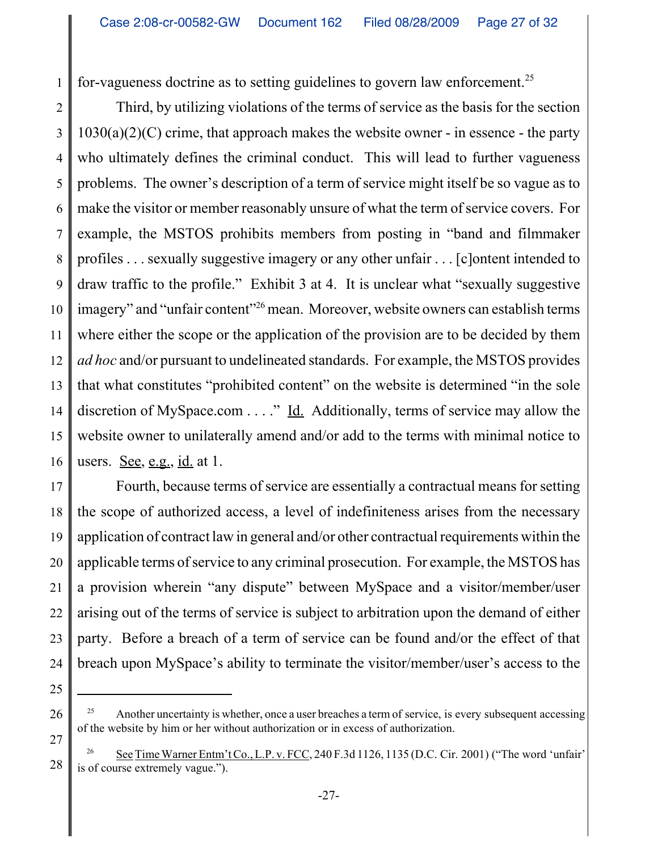1 for-vagueness doctrine as to setting guidelines to govern law enforcement.<sup>25</sup>

2 3 4 5 6 7 8 9 10 11 12 13 14 15 16 Third, by utilizing violations of the terms of service as the basis for the section  $1030(a)(2)(C)$  crime, that approach makes the website owner - in essence - the party who ultimately defines the criminal conduct. This will lead to further vagueness problems. The owner's description of a term of service might itself be so vague as to make the visitor or member reasonably unsure of what the term of service covers. For example, the MSTOS prohibits members from posting in "band and filmmaker profiles . . . sexually suggestive imagery or any other unfair . . . [c]ontent intended to draw traffic to the profile." Exhibit 3 at 4. It is unclear what "sexually suggestive imagery" and "unfair content"<sup>26</sup> mean. Moreover, website owners can establish terms where either the scope or the application of the provision are to be decided by them *ad hoc* and/or pursuant to undelineated standards. For example, the MSTOS provides that what constitutes "prohibited content" on the website is determined "in the sole discretion of MySpace.com . . . ." Id. Additionally, terms of service may allow the website owner to unilaterally amend and/or add to the terms with minimal notice to users. See, e.g., id. at 1.

17 18 19 20 21 22 23 24 Fourth, because terms of service are essentially a contractual means for setting the scope of authorized access, a level of indefiniteness arises from the necessary application of contract law in general and/or other contractual requirements within the applicable terms of service to any criminal prosecution. For example, the MSTOS has a provision wherein "any dispute" between MySpace and a visitor/member/user arising out of the terms of service is subject to arbitration upon the demand of either party. Before a breach of a term of service can be found and/or the effect of that breach upon MySpace's ability to terminate the visitor/member/user's access to the

25

26

<sup>&</sup>lt;sup>25</sup> Another uncertainty is whether, once a user breaches a term of service, is every subsequent accessing of the website by him or her without authorization or in excess of authorization.

<sup>28</sup> <sup>26</sup> See Time Warner Entm't Co., L.P. v. FCC, 240 F.3d 1126, 1135 (D.C. Cir. 2001) ("The word 'unfair' is of course extremely vague.").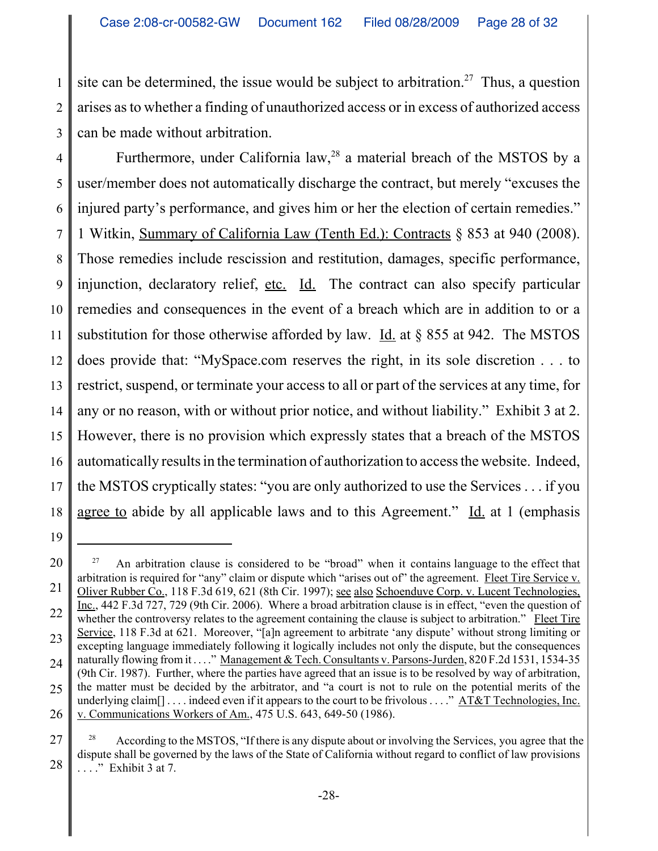1 2 3 site can be determined, the issue would be subject to arbitration.<sup>27</sup> Thus, a question arises asto whether a finding of unauthorized access or in excess of authorized access can be made without arbitration.

4 5 6 7 8 9 10 11 12 13 14 15 16 17 18 Furthermore, under California  $law<sub>1</sub><sup>28</sup>$  a material breach of the MSTOS by a user/member does not automatically discharge the contract, but merely "excuses the injured party's performance, and gives him or her the election of certain remedies." 1 Witkin, Summary of California Law (Tenth Ed.): Contracts § 853 at 940 (2008). Those remedies include rescission and restitution, damages, specific performance, injunction, declaratory relief, etc. Id. The contract can also specify particular remedies and consequences in the event of a breach which are in addition to or a substitution for those otherwise afforded by law. Id. at § 855 at 942. The MSTOS does provide that: "MySpace.com reserves the right, in its sole discretion . . . to restrict, suspend, or terminate your access to all or part of the services at any time, for any or no reason, with or without prior notice, and without liability." Exhibit 3 at 2. However, there is no provision which expressly states that a breach of the MSTOS automatically results in the termination of authorization to access the website. Indeed, the MSTOS cryptically states: "you are only authorized to use the Services . . . if you agree to abide by all applicable laws and to this Agreement." Id. at 1 (emphasis

<sup>20</sup> 21 22 23 <sup>27</sup> An arbitration clause is considered to be "broad" when it contains language to the effect that arbitration is required for "any" claim or dispute which "arises out of" the agreement. Fleet Tire Service v. Oliver Rubber Co., 118 F.3d 619, 621 (8th Cir. 1997); see also Schoenduve Corp. v. Lucent Technologies,

<sup>24</sup> 25 26 Inc., 442 F.3d 727, 729 (9th Cir. 2006). Where a broad arbitration clause is in effect, "even the question of whether the controversy relates to the agreement containing the clause is subject to arbitration." Fleet Tire Service, 118 F.3d at 621. Moreover, "[a]n agreement to arbitrate 'any dispute' without strong limiting or excepting language immediately following it logically includes not only the dispute, but the consequences naturally flowing from it . . . . " Management & Tech. Consultants v. Parsons-Jurden, 820 F.2d 1531, 1534-35 (9th Cir. 1987). Further, where the parties have agreed that an issue is to be resolved by way of arbitration, the matter must be decided by the arbitrator, and "a court is not to rule on the potential merits of the underlying claim $[$ ].... indeed even if it appears to the court to be frivolous ...." AT&T Technologies, Inc. v. Communications Workers of Am., 475 U.S. 643, 649-50 (1986).

<sup>27</sup> 28 <sup>28</sup> According to the MSTOS, "If there is any dispute about or involving the Services, you agree that the dispute shall be governed by the laws of the State of California without regard to conflict of law provisions . . . . " Exhibit 3 at 7.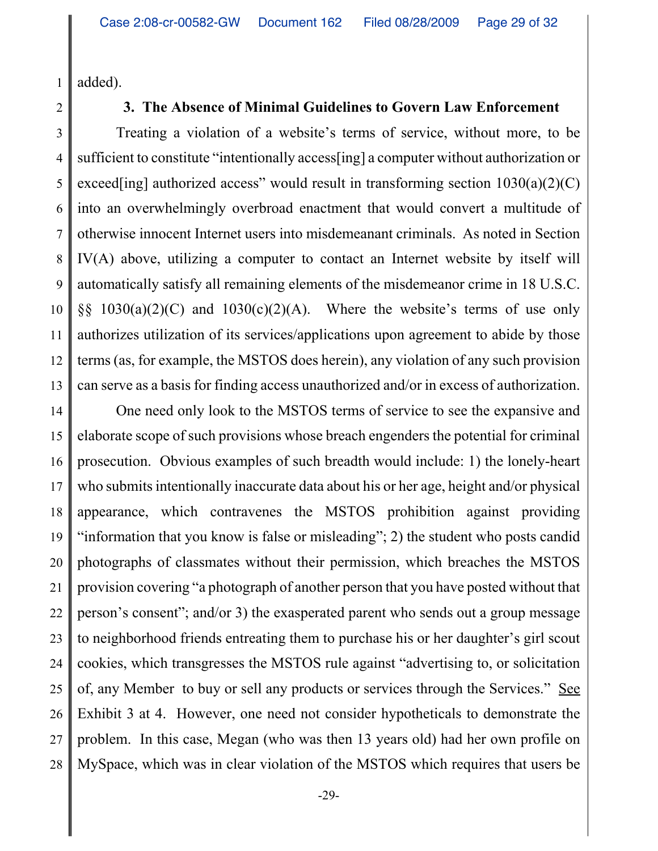1 added).

2

## **3. The Absence of Minimal Guidelines to Govern Law Enforcement**

3 4 5 6 7 8 9 10 11 12 13 Treating a violation of a website's terms of service, without more, to be sufficient to constitute "intentionally access[ing] a computer without authorization or exceed[ing] authorized access" would result in transforming section  $1030(a)(2)(C)$ into an overwhelmingly overbroad enactment that would convert a multitude of otherwise innocent Internet users into misdemeanant criminals. As noted in Section IV(A) above, utilizing a computer to contact an Internet website by itself will automatically satisfy all remaining elements of the misdemeanor crime in 18 U.S.C. §§  $1030(a)(2)(C)$  and  $1030(c)(2)(A)$ . Where the website's terms of use only authorizes utilization of its services/applications upon agreement to abide by those terms (as, for example, the MSTOS does herein), any violation of any such provision can serve as a basisfor finding access unauthorized and/or in excess of authorization.

14 15 16 17 18 19 20 21 22 23 24 25 26 27 28 One need only look to the MSTOS terms of service to see the expansive and elaborate scope of such provisions whose breach engenders the potential for criminal prosecution. Obvious examples of such breadth would include: 1) the lonely-heart who submits intentionally inaccurate data about his or her age, height and/or physical appearance, which contravenes the MSTOS prohibition against providing "information that you know is false or misleading"; 2) the student who posts candid photographs of classmates without their permission, which breaches the MSTOS provision covering "a photograph of another person that you have posted without that person's consent"; and/or 3) the exasperated parent who sends out a group message to neighborhood friends entreating them to purchase his or her daughter's girl scout cookies, which transgresses the MSTOS rule against "advertising to, or solicitation of, any Member to buy or sell any products or services through the Services." See Exhibit 3 at 4. However, one need not consider hypotheticals to demonstrate the problem. In this case, Megan (who was then 13 years old) had her own profile on MySpace, which was in clear violation of the MSTOS which requires that users be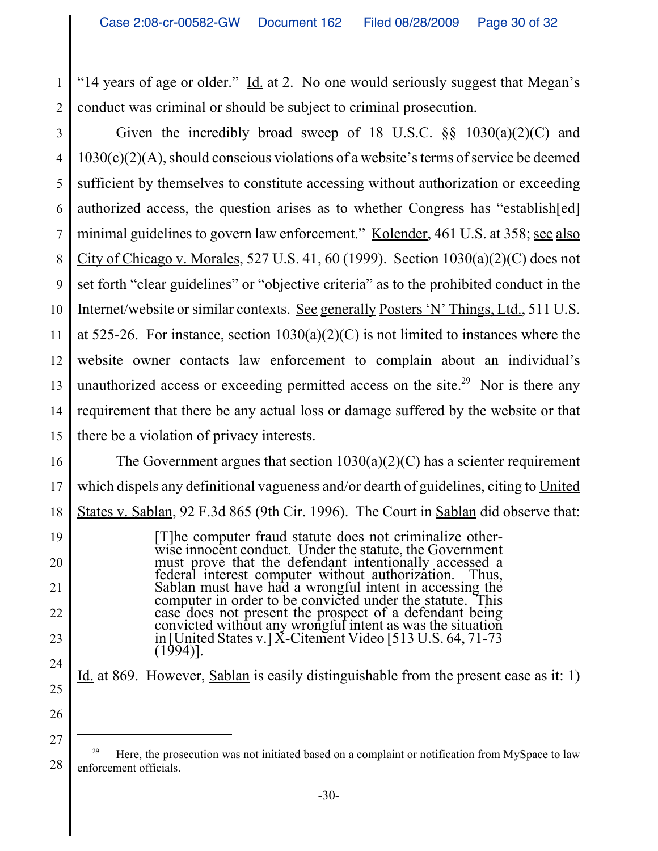1 2 "14 years of age or older." Id. at 2. No one would seriously suggest that Megan's conduct was criminal or should be subject to criminal prosecution.

3 4 5 6 7 8 9 10 11 12 13 14 15 Given the incredibly broad sweep of 18 U.S.C. §§ 1030(a)(2)(C) and  $1030(c)(2)(A)$ , should conscious violations of a website's terms of service be deemed sufficient by themselves to constitute accessing without authorization or exceeding authorized access, the question arises as to whether Congress has "establish[ed] minimal guidelines to govern law enforcement." Kolender, 461 U.S. at 358; see also City of Chicago v. Morales, 527 U.S. 41, 60 (1999). Section  $1030(a)(2)(C)$  does not set forth "clear guidelines" or "objective criteria" as to the prohibited conduct in the Internet/website or similar contexts. See generally Posters 'N' Things, Ltd., 511 U.S. at 525-26. For instance, section  $1030(a)(2)(C)$  is not limited to instances where the website owner contacts law enforcement to complain about an individual's unauthorized access or exceeding permitted access on the site.<sup>29</sup> Nor is there any requirement that there be any actual loss or damage suffered by the website or that there be a violation of privacy interests.

16 17 18 The Government argues that section  $1030(a)(2)(C)$  has a scienter requirement which dispels any definitional vagueness and/or dearth of guidelines, citing to United States v. Sablan, 92 F.3d 865 (9th Cir. 1996). The Court in Sablan did observe that:

> [T]he computer fraud statute does not criminalize other- wise innocent conduct. Under the statute, the Government must prove that the defendant intentionally accessed a federal interest computer without authorization. Thus, Sablan must have had a wrongful intent in accessing the computer in order to be convicted under the statute. This case does not present the prospect of a defendant being convicted without any wrongful intent as was the situation in [United States v.] X-Citement Video [513 U.S. 64, 71-73  $(1994)$ ].

Id. at 869. However, Sablan is easily distinguishable from the present case as it: 1)

26 27

19

20

21

22

23

24

<sup>28</sup> Here, the prosecution was not initiated based on a complaint or notification from MySpace to law enforcement officials.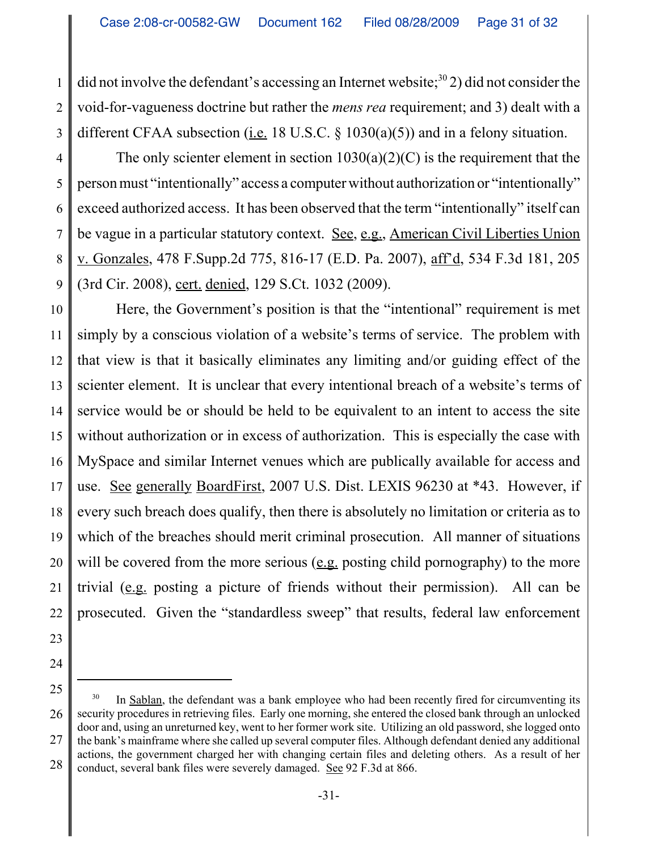1 2 3 did not involve the defendant's accessing an Internet website; $30$  2) did not consider the void-for-vagueness doctrine but rather the *mens rea* requirement; and 3) dealt with a different CFAA subsection (i.e. 18 U.S.C. § 1030(a)(5)) and in a felony situation.

4 5 6 7 8 9 The only scienter element in section  $1030(a)(2)(C)$  is the requirement that the personmust "intentionally" access a computerwithout authorization or "intentionally" exceed authorized access. It has been observed that the term "intentionally" itself can be vague in a particular statutory context. See, e.g., American Civil Liberties Union v. Gonzales, 478 F.Supp.2d 775, 816-17 (E.D. Pa. 2007), aff'd, 534 F.3d 181, 205 (3rd Cir. 2008), cert. denied, 129 S.Ct. 1032 (2009).

10 11 12 13 14 15 16 17 18 19 20 21 22 Here, the Government's position is that the "intentional" requirement is met simply by a conscious violation of a website's terms of service. The problem with that view is that it basically eliminates any limiting and/or guiding effect of the scienter element. It is unclear that every intentional breach of a website's terms of service would be or should be held to be equivalent to an intent to access the site without authorization or in excess of authorization. This is especially the case with MySpace and similar Internet venues which are publically available for access and use. See generally BoardFirst, 2007 U.S. Dist. LEXIS 96230 at \*43. However, if every such breach does qualify, then there is absolutely no limitation or criteria as to which of the breaches should merit criminal prosecution. All manner of situations will be covered from the more serious (e.g. posting child pornography) to the more trivial (e.g. posting a picture of friends without their permission). All can be prosecuted. Given the "standardless sweep" that results, federal law enforcement

- 23
- 24
- 25

<sup>26</sup> 27 28 In Sablan, the defendant was a bank employee who had been recently fired for circumventing its security procedures in retrieving files. Early one morning, she entered the closed bank through an unlocked door and, using an unreturned key, went to her former work site. Utilizing an old password, she logged onto the bank's mainframe where she called up several computer files. Although defendant denied any additional actions, the government charged her with changing certain files and deleting others. As a result of her conduct, several bank files were severely damaged. See 92 F.3d at 866.